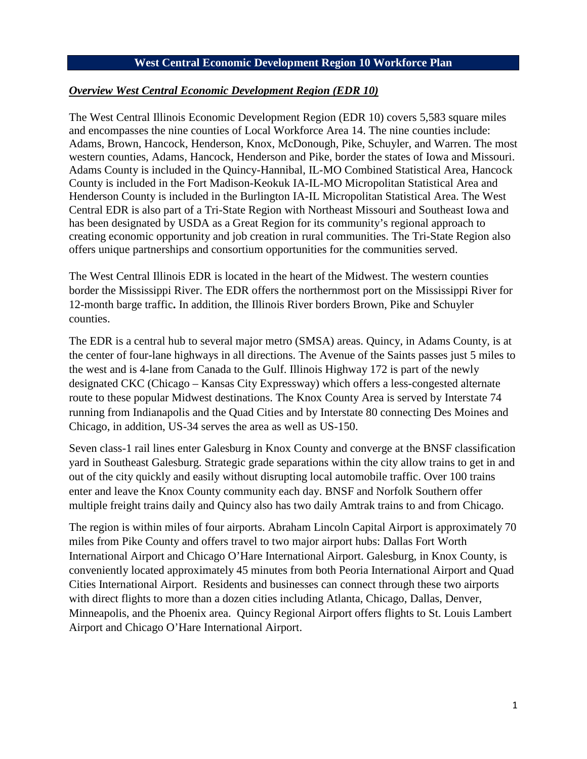#### **West Central Economic Development Region 10 Workforce Plan**

#### *Overview West Central Economic Development Region (EDR 10)*

The West Central Illinois Economic Development Region (EDR 10) covers 5,583 square miles and encompasses the nine counties of Local Workforce Area 14. The nine counties include: Adams, Brown, Hancock, Henderson, Knox, McDonough, Pike, Schuyler, and Warren. The most western counties, Adams, Hancock, Henderson and Pike, border the states of Iowa and Missouri. Adams County is included in the Quincy-Hannibal, IL-MO Combined Statistical Area, Hancock County is included in the Fort Madison-Keokuk IA-IL-MO Micropolitan Statistical Area and Henderson County is included in the Burlington IA-IL Micropolitan Statistical Area. The West Central EDR is also part of a Tri-State Region with Northeast Missouri and Southeast Iowa and has been designated by USDA as a Great Region for its community's regional approach to creating economic opportunity and job creation in rural communities. The Tri-State Region also offers unique partnerships and consortium opportunities for the communities served.

The West Central Illinois EDR is located in the heart of the Midwest. The western counties border the Mississippi River. The EDR offers the northernmost port on the Mississippi River for 12-month barge traffic**.** In addition, the Illinois River borders Brown, Pike and Schuyler counties.

The EDR is a central hub to several major metro (SMSA) areas. Quincy, in Adams County, is at the center of four-lane highways in all directions. The Avenue of the Saints passes just 5 miles to the west and is 4-lane from Canada to the Gulf. Illinois Highway 172 is part of the newly designated CKC (Chicago – Kansas City Expressway) which offers a less-congested alternate route to these popular Midwest destinations. The Knox County Area is served by Interstate 74 running from Indianapolis and the Quad Cities and by Interstate 80 connecting Des Moines and Chicago, in addition, US-34 serves the area as well as US-150.

Seven class-1 rail lines enter Galesburg in Knox County and converge at the BNSF classification yard in Southeast Galesburg. Strategic grade separations within the city allow trains to get in and out of the city quickly and easily without disrupting local automobile traffic. Over 100 trains enter and leave the Knox County community each day. BNSF and Norfolk Southern offer multiple freight trains daily and Quincy also has two daily Amtrak trains to and from Chicago.

The region is within miles of four airports. Abraham Lincoln Capital Airport is approximately 70 miles from Pike County and offers travel to two major airport hubs: Dallas Fort Worth International Airport and Chicago O'Hare International Airport. Galesburg, in Knox County, is conveniently located approximately 45 minutes from both Peoria International Airport and Quad Cities International Airport. Residents and businesses can connect through these two airports with direct flights to more than a dozen cities including Atlanta, Chicago, Dallas, Denver, Minneapolis, and the Phoenix area. Quincy Regional Airport offers flights to St. Louis Lambert Airport and Chicago O'Hare International Airport.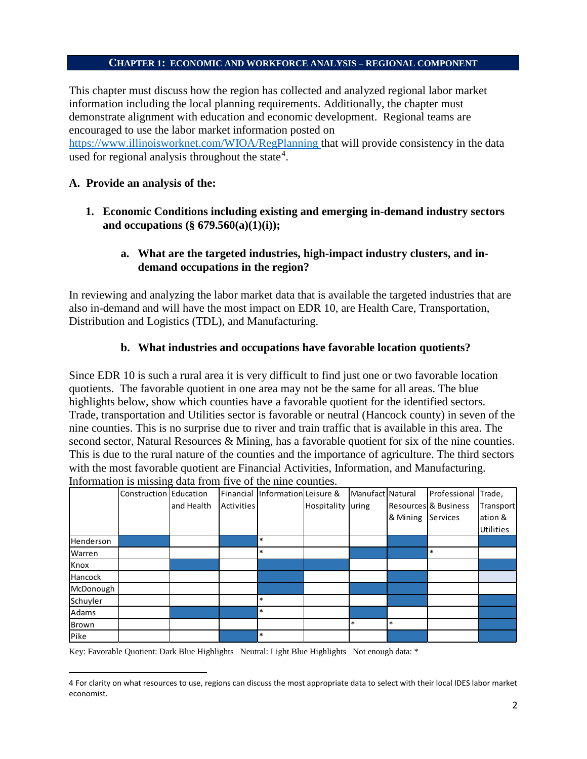#### **CHAPTER 1: ECONOMIC AND WORKFORCE ANALYSIS – REGIONAL COMPONENT**

This chapter must discuss how the region has collected and analyzed regional labor market information including the local planning requirements. Additionally, the chapter must demonstrate alignment with education and economic development. Regional teams are encouraged to use the labor market information posted on

<https://www.illinoisworknet.com/WIOA/RegPlanning> [t](https://www.illinoisworknet.com/WIOA/RegPlanning)hat will provide consistency in the data used for regional analysis throughout the state<sup>[4](#page-1-0)</sup>.

#### **A. Provide an analysis of the:**

 $\overline{\phantom{a}}$ 

**1. Economic Conditions including existing and emerging in-demand industry sectors and occupations (§ 679.560(a)(1)(i));**

### **a. What are the targeted industries, high-impact industry clusters, and indemand occupations in the region?**

In reviewing and analyzing the labor market data that is available the targeted industries that are also in-demand and will have the most impact on EDR 10, are Health Care, Transportation, Distribution and Logistics (TDL), and Manufacturing.

#### **b. What industries and occupations have favorable location quotients?**

Since EDR 10 is such a rural area it is very difficult to find just one or two favorable location quotients. The favorable quotient in one area may not be the same for all areas. The blue highlights below, show which counties have a favorable quotient for the identified sectors. Trade, transportation and Utilities sector is favorable or neutral (Hancock county) in seven of the nine counties. This is no surprise due to river and train traffic that is available in this area. The second sector, Natural Resources & Mining, has a favorable quotient for six of the nine counties. This is due to the rural nature of the counties and the importance of agriculture. The third sectors with the most favorable quotient are Financial Activities, Information, and Manufacturing. Information is missing data from five of the nine counties.

|                  | Construction Education |            |                   | Financial Information Leisure & |             | Manufact Natural |          | Professional         | Trade,           |
|------------------|------------------------|------------|-------------------|---------------------------------|-------------|------------------|----------|----------------------|------------------|
|                  |                        | and Health | <b>Activities</b> |                                 | Hospitality | luring           |          | Resources & Business | Transport        |
|                  |                        |            |                   |                                 |             |                  | & Mining | Services             | ation &          |
|                  |                        |            |                   |                                 |             |                  |          |                      | <b>Utilities</b> |
| <b>Henderson</b> |                        |            |                   | $\ast$                          |             |                  |          |                      |                  |
| Warren           |                        |            |                   | $\ast$                          |             |                  |          | $\ast$               |                  |
| Knox             |                        |            |                   |                                 |             |                  |          |                      |                  |
| Hancock          |                        |            |                   |                                 |             |                  |          |                      |                  |
| McDonough        |                        |            |                   |                                 |             |                  |          |                      |                  |
| Schuyler         |                        |            |                   | $\ast$                          |             |                  |          |                      |                  |
| Adams            |                        |            |                   | $\ast$                          |             |                  |          |                      |                  |
| Brown            |                        |            |                   |                                 |             | $\ast$           | $\ast$   |                      |                  |
| Pike             |                        |            |                   | *                               |             |                  |          |                      |                  |

Key: Favorable Quotient: Dark Blue Highlights Neutral: Light Blue Highlights Not enough data: \*

<span id="page-1-0"></span><sup>4</sup> For clarity on what resources to use, regions can discuss the most appropriate data to select with their local IDES labor market economist.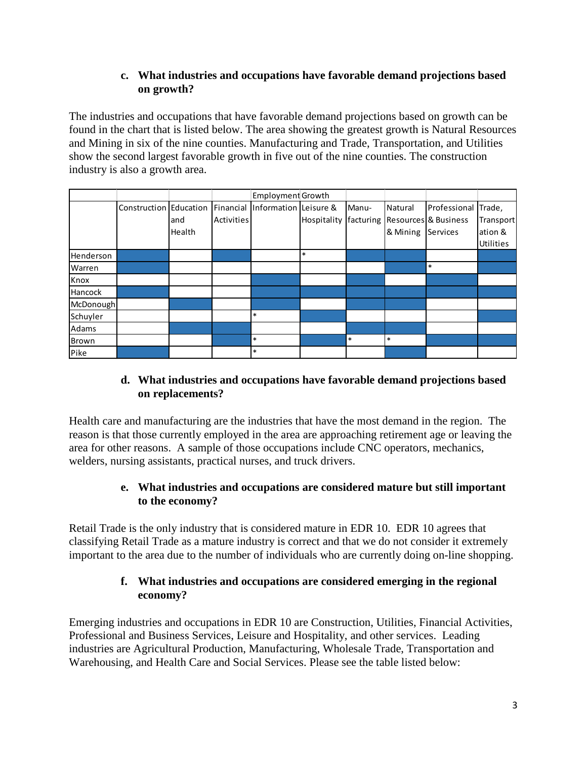## **c. What industries and occupations have favorable demand projections based on growth?**

The industries and occupations that have favorable demand projections based on growth can be found in the chart that is listed below. The area showing the greatest growth is Natural Resources and Mining in six of the nine counties. Manufacturing and Trade, Transportation, and Utilities show the second largest favorable growth in five out of the nine counties. The construction industry is also a growth area.

|           |                        |        |                   | <b>Employment Growth</b> |             |           |          |                      |           |
|-----------|------------------------|--------|-------------------|--------------------------|-------------|-----------|----------|----------------------|-----------|
|           | Construction Education |        | Financial         | Information Leisure &    |             | Manu-     | Natural  | Professional         | Trade,    |
|           |                        | land   | <b>Activities</b> |                          | Hospitality | facturing |          | Resources & Business | Transport |
|           |                        | Health |                   |                          |             |           | & Mining | Services             | ation &   |
|           |                        |        |                   |                          |             |           |          |                      | Utilities |
| Henderson |                        |        |                   |                          | $\ast$      |           |          |                      |           |
| Warren    |                        |        |                   |                          |             |           |          | $\ast$               |           |
| Knox      |                        |        |                   |                          |             |           |          |                      |           |
| Hancock   |                        |        |                   |                          |             |           |          |                      |           |
| McDonough |                        |        |                   |                          |             |           |          |                      |           |
| Schuyler  |                        |        |                   | $\ast$                   |             |           |          |                      |           |
| Adams     |                        |        |                   |                          |             |           |          |                      |           |
| Brown     |                        |        |                   | $\ast$                   |             | $\ast$    | $\ast$   |                      |           |
| Pike      |                        |        |                   | $\ast$                   |             |           |          |                      |           |

# **d. What industries and occupations have favorable demand projections based on replacements?**

Health care and manufacturing are the industries that have the most demand in the region. The reason is that those currently employed in the area are approaching retirement age or leaving the area for other reasons. A sample of those occupations include CNC operators, mechanics, welders, nursing assistants, practical nurses, and truck drivers.

# **e. What industries and occupations are considered mature but still important to the economy?**

Retail Trade is the only industry that is considered mature in EDR 10. EDR 10 agrees that classifying Retail Trade as a mature industry is correct and that we do not consider it extremely important to the area due to the number of individuals who are currently doing on-line shopping.

# **f. What industries and occupations are considered emerging in the regional economy?**

Emerging industries and occupations in EDR 10 are Construction, Utilities, Financial Activities, Professional and Business Services, Leisure and Hospitality, and other services. Leading industries are Agricultural Production, Manufacturing, Wholesale Trade, Transportation and Warehousing, and Health Care and Social Services. Please see the table listed below: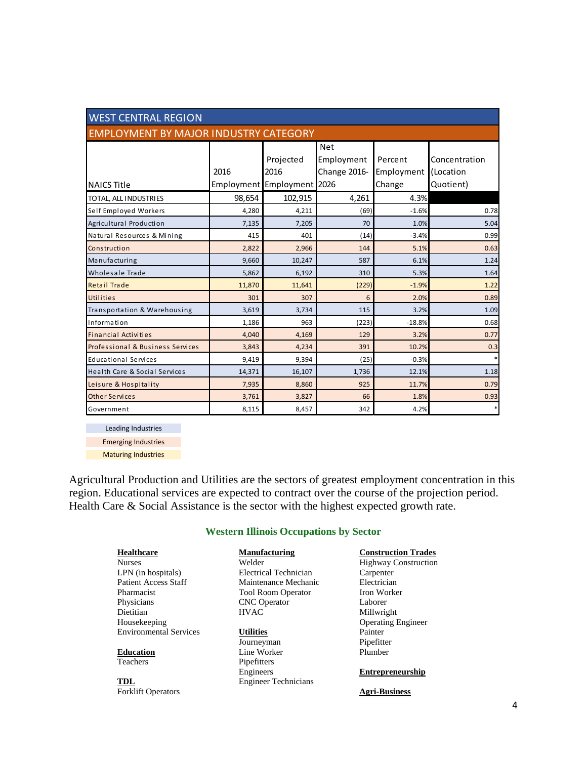| <b>WEST CENTRAL REGION</b>                   |        |                            |              |            |               |  |
|----------------------------------------------|--------|----------------------------|--------------|------------|---------------|--|
| <b>EMPLOYMENT BY MAJOR INDUSTRY CATEGORY</b> |        |                            |              |            |               |  |
|                                              |        |                            | <b>Net</b>   |            |               |  |
|                                              |        | Projected                  | Employment   | Percent    | Concentration |  |
|                                              | 2016   | 2016                       | Change 2016- | Employment | (Location     |  |
| <b>NAICS Title</b>                           |        | Employment Employment 2026 |              | Change     | Quotient)     |  |
| TOTAL, ALL INDUSTRIES                        | 98,654 | 102,915                    | 4,261        | 4.3%       |               |  |
| Self Employed Workers                        | 4,280  | 4,211                      | (69)         | $-1.6%$    | 0.78          |  |
| Agricultural Production                      | 7,135  | 7,205                      | 70           | 1.0%       | 5.04          |  |
| Natural Resources & Mining                   | 415    | 401                        | (14)         | $-3.4%$    | 0.99          |  |
| Construction                                 | 2,822  | 2,966                      | 144          | 5.1%       | 0.63          |  |
| Manufacturing                                | 9,660  | 10,247                     | 587          | 6.1%       | 1.24          |  |
| Wholesale Trade                              | 5,862  | 6,192                      | 310          | 5.3%       | 1.64          |  |
| <b>Retail Trade</b>                          | 11,870 | 11,641                     | (229)        | $-1.9%$    | 1.22          |  |
| Utilities                                    | 301    | 307                        | 6            | 2.0%       | 0.89          |  |
| Transportation & Warehousing                 | 3,619  | 3,734                      | 115          | 3.2%       | 1.09          |  |
| Information                                  | 1,186  | 963                        | (223)        | $-18.8%$   | 0.68          |  |
| <b>Financial Activities</b>                  | 4,040  | 4,169                      | 129          | 3.2%       | 0.77          |  |
| Professional & Business Services             | 3,843  | 4,234                      | 391          | 10.2%      | 0.3           |  |
| <b>Educational Services</b>                  | 9,419  | 9,394                      | (25)         | $-0.3%$    |               |  |
| Health Care & Social Services                | 14,371 | 16,107                     | 1,736        | 12.1%      | 1.18          |  |
| Leisure & Hospitality                        | 7,935  | 8,860                      | 925          | 11.7%      | 0.79          |  |
| <b>Other Services</b>                        | 3,761  | 3,827                      | 66           | 1.8%       | 0.93          |  |
| Government                                   | 8,115  | 8,457                      | 342          | 4.2%       |               |  |

Leading Industries Emerging Industries

Maturing Industries

Agricultural Production and Utilities are the sectors of greatest employment concentration in this region. Educational services are expected to contract over the course of the projection period. Health Care & Social Assistance is the sector with the highest expected growth rate.

#### **Western Illinois Occupations by Sector**

| <b>Healthcare</b>             | Manufacturing                | <b>Construction Trades</b>  |
|-------------------------------|------------------------------|-----------------------------|
| <b>Nurses</b>                 | Welder                       | <b>Highway Construction</b> |
| $LPN$ (in hospitals)          | <b>Electrical Technician</b> | Carpenter                   |
| <b>Patient Access Staff</b>   | Maintenance Mechanic         | Electrician                 |
| Pharmacist                    | <b>Tool Room Operator</b>    | Iron Worker                 |
| Physicians                    | <b>CNC</b> Operator          | Laborer                     |
| Dietitian                     | <b>HVAC</b>                  | Millwright                  |
| Housekeeping                  |                              | <b>Operating Engineer</b>   |
| <b>Environmental Services</b> | <b>Utilities</b>             | Painter                     |
|                               | Journeyman                   | Pipefitter                  |
| <b>Education</b>              | Line Worker                  | Plumber                     |
| Teachers                      | Pipefitters                  |                             |
|                               | Engineers                    | <b>Entrepreneurship</b>     |
| <b>TDL</b>                    | <b>Engineer Technicians</b>  |                             |

Forklift Operators **Agri-Business**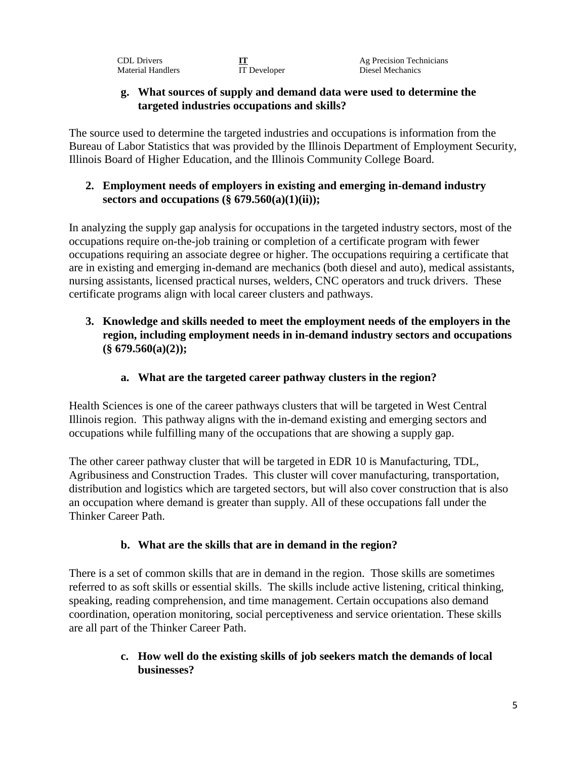Material Handlers IT Developer Diesel Mechanics

CDL Drivers **IT**<br>
Material Handlers **IT** Developer **Ag Precision Technicians**<br>
Diesel Mechanics

### **g. What sources of supply and demand data were used to determine the targeted industries occupations and skills?**

The source used to determine the targeted industries and occupations is information from the Bureau of Labor Statistics that was provided by the Illinois Department of Employment Security, Illinois Board of Higher Education, and the Illinois Community College Board.

## **2. Employment needs of employers in existing and emerging in-demand industry sectors and occupations (§ 679.560(a)(1)(ii));**

In analyzing the supply gap analysis for occupations in the targeted industry sectors, most of the occupations require on-the-job training or completion of a certificate program with fewer occupations requiring an associate degree or higher. The occupations requiring a certificate that are in existing and emerging in-demand are mechanics (both diesel and auto), medical assistants, nursing assistants, licensed practical nurses, welders, CNC operators and truck drivers. These certificate programs align with local career clusters and pathways.

# **3. Knowledge and skills needed to meet the employment needs of the employers in the region, including employment needs in in-demand industry sectors and occupations (§ 679.560(a)(2));**

# **a. What are the targeted career pathway clusters in the region?**

Health Sciences is one of the career pathways clusters that will be targeted in West Central Illinois region. This pathway aligns with the in-demand existing and emerging sectors and occupations while fulfilling many of the occupations that are showing a supply gap.

The other career pathway cluster that will be targeted in EDR 10 is Manufacturing, TDL, Agribusiness and Construction Trades. This cluster will cover manufacturing, transportation, distribution and logistics which are targeted sectors, but will also cover construction that is also an occupation where demand is greater than supply. All of these occupations fall under the Thinker Career Path.

# **b. What are the skills that are in demand in the region?**

There is a set of common skills that are in demand in the region. Those skills are sometimes referred to as soft skills or essential skills. The skills include active listening, critical thinking, speaking, reading comprehension, and time management. Certain occupations also demand coordination, operation monitoring, social perceptiveness and service orientation. These skills are all part of the Thinker Career Path.

## **c. How well do the existing skills of job seekers match the demands of local businesses?**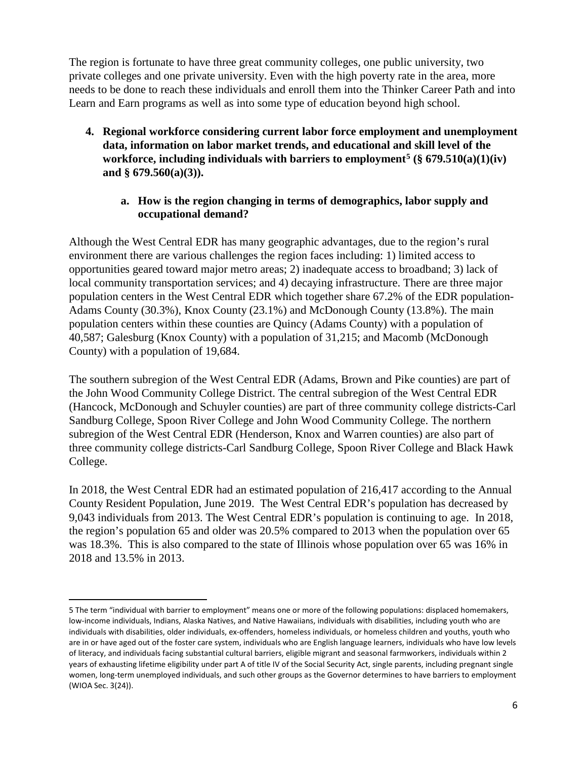The region is fortunate to have three great community colleges, one public university, two private colleges and one private university. Even with the high poverty rate in the area, more needs to be done to reach these individuals and enroll them into the Thinker Career Path and into Learn and Earn programs as well as into some type of education beyond high school.

**4. Regional workforce considering current labor force employment and unemployment data, information on labor market trends, and educational and skill level of the workforce, including individuals with barriers to employment[5](#page-5-0) (§ 679.510(a)(1)(iv) and § 679.560(a)(3)).**

### **a. How is the region changing in terms of demographics, labor supply and occupational demand?**

Although the West Central EDR has many geographic advantages, due to the region's rural environment there are various challenges the region faces including: 1) limited access to opportunities geared toward major metro areas; 2) inadequate access to broadband; 3) lack of local community transportation services; and 4) decaying infrastructure. There are three major population centers in the West Central EDR which together share 67.2% of the EDR population-Adams County (30.3%), Knox County (23.1%) and McDonough County (13.8%). The main population centers within these counties are Quincy (Adams County) with a population of 40,587; Galesburg (Knox County) with a population of 31,215; and Macomb (McDonough County) with a population of 19,684.

The southern subregion of the West Central EDR (Adams, Brown and Pike counties) are part of the John Wood Community College District. The central subregion of the West Central EDR (Hancock, McDonough and Schuyler counties) are part of three community college districts-Carl Sandburg College, Spoon River College and John Wood Community College. The northern subregion of the West Central EDR (Henderson, Knox and Warren counties) are also part of three community college districts-Carl Sandburg College, Spoon River College and Black Hawk College.

In 2018, the West Central EDR had an estimated population of 216,417 according to the Annual County Resident Population, June 2019. The West Central EDR's population has decreased by 9,043 individuals from 2013. The West Central EDR's population is continuing to age. In 2018, the region's population 65 and older was 20.5% compared to 2013 when the population over 65 was 18.3%. This is also compared to the state of Illinois whose population over 65 was 16% in 2018 and 13.5% in 2013.

 $\overline{\phantom{a}}$ 

<span id="page-5-0"></span><sup>5</sup> The term "individual with barrier to employment" means one or more of the following populations: displaced homemakers, low-income individuals, Indians, Alaska Natives, and Native Hawaiians, individuals with disabilities, including youth who are individuals with disabilities, older individuals, ex-offenders, homeless individuals, or homeless children and youths, youth who are in or have aged out of the foster care system, individuals who are English language learners, individuals who have low levels of literacy, and individuals facing substantial cultural barriers, eligible migrant and seasonal farmworkers, individuals within 2 years of exhausting lifetime eligibility under part A of title IV of the Social Security Act, single parents, including pregnant single women, long-term unemployed individuals, and such other groups as the Governor determines to have barriers to employment (WIOA Sec. 3(24)).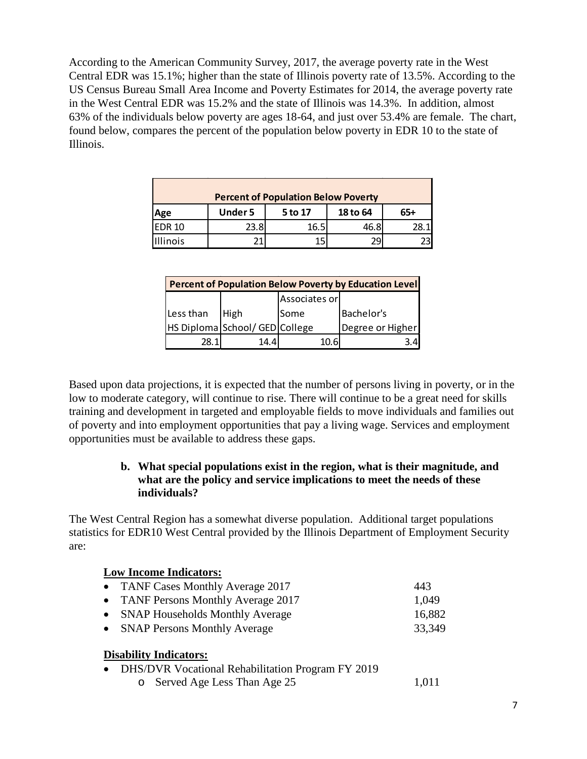According to the American Community Survey, 2017, the average poverty rate in the West Central EDR was 15.1%; higher than the state of Illinois poverty rate of 13.5%. According to the US Census Bureau Small Area Income and Poverty Estimates for 2014, the average poverty rate in the West Central EDR was 15.2% and the state of Illinois was 14.3%. In addition, almost 63% of the individuals below poverty are ages 18-64, and just over 53.4% are female. The chart, found below, compares the percent of the population below poverty in EDR 10 to the state of Illinois.

| <b>Percent of Population Below Poverty</b> |                |         |          |     |  |  |
|--------------------------------------------|----------------|---------|----------|-----|--|--|
| Age                                        | <b>Under 5</b> | 5 to 17 | 18 to 64 | 65+ |  |  |
| <b>EDR 10</b>                              | 23.8           | 16.5    | 46.8     |     |  |  |
| <b>Illinois</b>                            |                |         | 29       |     |  |  |

| <b>Percent of Population Below Poverty by Education Level</b> |                                |      |                  |  |  |  |
|---------------------------------------------------------------|--------------------------------|------|------------------|--|--|--|
|                                                               | Associates or                  |      |                  |  |  |  |
| Less than                                                     | High                           | Some | Bachelor's       |  |  |  |
|                                                               | HS Diploma School/ GED College |      | Degree or Higher |  |  |  |
| 28.1                                                          | 14.4                           |      |                  |  |  |  |

Based upon data projections, it is expected that the number of persons living in poverty, or in the low to moderate category, will continue to rise. There will continue to be a great need for skills training and development in targeted and employable fields to move individuals and families out of poverty and into employment opportunities that pay a living wage. Services and employment opportunities must be available to address these gaps.

### **b. What special populations exist in the region, what is their magnitude, and what are the policy and service implications to meet the needs of these individuals?**

The West Central Region has a somewhat diverse population. Additional target populations statistics for EDR10 West Central provided by the Illinois Department of Employment Security are:

| <b>Low Income Indicators:</b>                                                                                       |        |
|---------------------------------------------------------------------------------------------------------------------|--------|
| <b>TANF Cases Monthly Average 2017</b><br>$\bullet$                                                                 | 443    |
| <b>TANF Persons Monthly Average 2017</b><br>$\bullet$                                                               | 1,049  |
| <b>SNAP Households Monthly Average</b><br>$\bullet$                                                                 | 16,882 |
| <b>SNAP Persons Monthly Average</b><br>$\bullet$                                                                    | 33,349 |
| <b>Disability Indicators:</b><br>DHS/DVR Vocational Rehabilitation Program FY 2019<br>o Served Age Less Than Age 25 | 1.011  |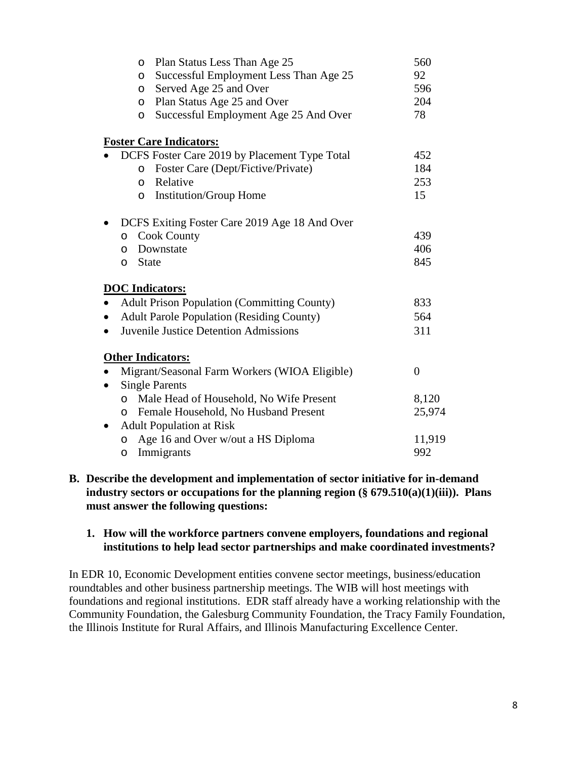| O        | Plan Status Less Than Age 25                       | 560            |
|----------|----------------------------------------------------|----------------|
| O        | Successful Employment Less Than Age 25             | 92             |
| $\circ$  | Served Age 25 and Over                             | 596            |
| $\circ$  | Plan Status Age 25 and Over                        | 204            |
| $\circ$  | Successful Employment Age 25 And Over              | 78             |
|          | <b>Foster Care Indicators:</b>                     |                |
|          | DCFS Foster Care 2019 by Placement Type Total      | 452            |
| $\circ$  | Foster Care (Dept/Fictive/Private)                 | 184            |
| $\circ$  | Relative                                           | 253            |
| O        | <b>Institution/Group Home</b>                      | 15             |
|          | DCFS Exiting Foster Care 2019 Age 18 And Over      |                |
| $\circ$  | <b>Cook County</b>                                 | 439            |
| $\Omega$ | Downstate                                          | 406            |
| O        | <b>State</b>                                       | 845            |
|          | <b>DOC</b> Indicators:                             |                |
|          | <b>Adult Prison Population (Committing County)</b> | 833            |
|          | <b>Adult Parole Population (Residing County)</b>   | 564            |
|          | <b>Juvenile Justice Detention Admissions</b>       | 311            |
|          | <b>Other Indicators:</b>                           |                |
|          | Migrant/Seasonal Farm Workers (WIOA Eligible)      | $\overline{0}$ |
|          | <b>Single Parents</b>                              |                |
| $\circ$  | Male Head of Household, No Wife Present            | 8,120          |
| O        | Female Household, No Husband Present               | 25,974         |
|          | <b>Adult Population at Risk</b>                    |                |
| O        | Age 16 and Over w/out a HS Diploma                 | 11,919         |
| $\circ$  | Immigrants                                         | 992            |
|          |                                                    |                |

#### **B. Describe the development and implementation of sector initiative for in-demand industry sectors or occupations for the planning region (§ 679.510(a)(1)(iii)). Plans must answer the following questions:**

#### **1. How will the workforce partners convene employers, foundations and regional institutions to help lead sector partnerships and make coordinated investments?**

In EDR 10, Economic Development entities convene sector meetings, business/education roundtables and other business partnership meetings. The WIB will host meetings with foundations and regional institutions. EDR staff already have a working relationship with the Community Foundation, the Galesburg Community Foundation, the Tracy Family Foundation, the Illinois Institute for Rural Affairs, and Illinois Manufacturing Excellence Center.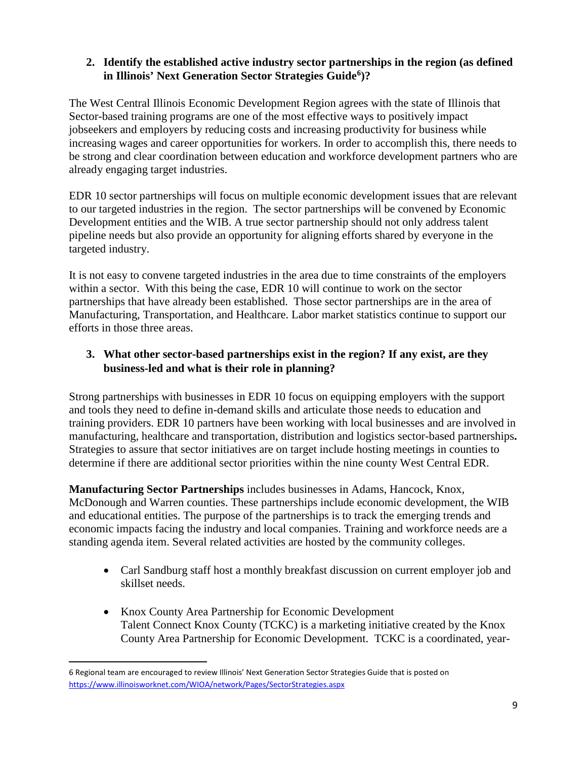## **2. Identify the established active industry sector partnerships in the region (as defined in Illinois' Next Generation Sector Strategies Guide[6\)](#page-8-0)?**

The West Central Illinois Economic Development Region agrees with the state of Illinois that Sector-based training programs are one of the most effective ways to positively impact jobseekers and employers by reducing costs and increasing productivity for business while increasing wages and career opportunities for workers. In order to accomplish this, there needs to be strong and clear coordination between education and workforce development partners who are already engaging target industries.

EDR 10 sector partnerships will focus on multiple economic development issues that are relevant to our targeted industries in the region. The sector partnerships will be convened by Economic Development entities and the WIB. A true sector partnership should not only address talent pipeline needs but also provide an opportunity for aligning efforts shared by everyone in the targeted industry.

It is not easy to convene targeted industries in the area due to time constraints of the employers within a sector. With this being the case, EDR 10 will continue to work on the sector partnerships that have already been established. Those sector partnerships are in the area of Manufacturing, Transportation, and Healthcare. Labor market statistics continue to support our efforts in those three areas.

# **3. What other sector-based partnerships exist in the region? If any exist, are they business-led and what is their role in planning?**

Strong partnerships with businesses in EDR 10 focus on equipping employers with the support and tools they need to define in-demand skills and articulate those needs to education and training providers. EDR 10 partners have been working with local businesses and are involved in manufacturing, healthcare and transportation, distribution and logistics sector-based partnerships**.**  Strategies to assure that sector initiatives are on target include hosting meetings in counties to determine if there are additional sector priorities within the nine county West Central EDR.

**Manufacturing Sector Partnerships** includes businesses in Adams, Hancock, Knox, McDonough and Warren counties. These partnerships include economic development, the WIB and educational entities. The purpose of the partnerships is to track the emerging trends and economic impacts facing the industry and local companies. Training and workforce needs are a standing agenda item. Several related activities are hosted by the community colleges.

- Carl Sandburg staff host a monthly breakfast discussion on current employer job and skillset needs.
- Knox County Area Partnership for Economic Development Talent Connect Knox County (TCKC) is a marketing initiative created by the Knox County Area Partnership for Economic Development. TCKC is a coordinated, year-

 $\overline{a}$ 

<span id="page-8-0"></span><sup>6</sup> Regional team are encouraged to review Illinois' Next Generation Sector Strategies Guide that is posted on <https://www.illinoisworknet.com/WIOA/network/Pages/SectorStrategies.aspx>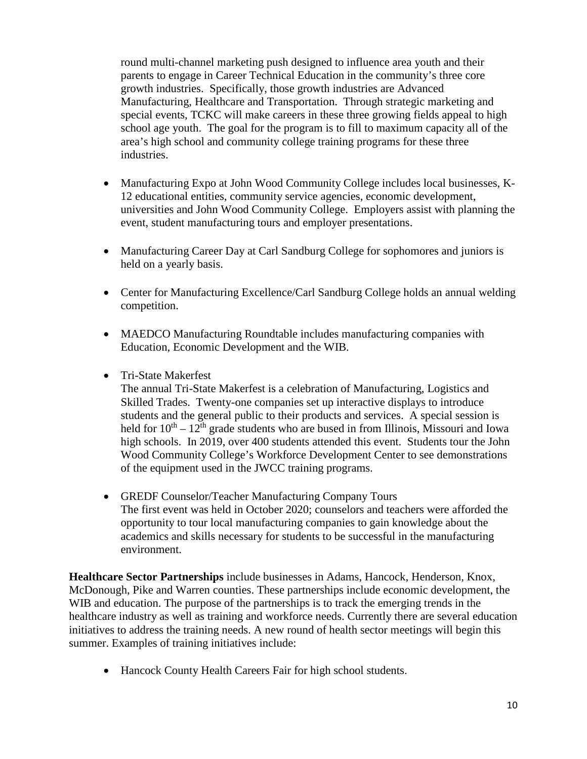round multi-channel marketing push designed to influence area youth and their parents to engage in Career Technical Education in the community's three core growth industries. Specifically, those growth industries are Advanced Manufacturing, Healthcare and Transportation. Through strategic marketing and special events, TCKC will make careers in these three growing fields appeal to high school age youth. The goal for the program is to fill to maximum capacity all of the area's high school and community college training programs for these three industries.

- Manufacturing Expo at John Wood Community College includes local businesses, K-12 educational entities, community service agencies, economic development, universities and John Wood Community College. Employers assist with planning the event, student manufacturing tours and employer presentations.
- Manufacturing Career Day at Carl Sandburg College for sophomores and juniors is held on a yearly basis.
- Center for Manufacturing Excellence/Carl Sandburg College holds an annual welding competition.
- MAEDCO Manufacturing Roundtable includes manufacturing companies with Education, Economic Development and the WIB.
- Tri-State Makerfest

The annual Tri-State Makerfest is a celebration of Manufacturing, Logistics and Skilled Trades. Twenty-one companies set up interactive displays to introduce students and the general public to their products and services. A special session is held for  $10^{th} - 12^{th}$  grade students who are bused in from Illinois, Missouri and Iowa high schools. In 2019, over 400 students attended this event. Students tour the John Wood Community College's Workforce Development Center to see demonstrations of the equipment used in the JWCC training programs.

• GREDF Counselor/Teacher Manufacturing Company Tours The first event was held in October 2020; counselors and teachers were afforded the opportunity to tour local manufacturing companies to gain knowledge about the academics and skills necessary for students to be successful in the manufacturing environment.

**Healthcare Sector Partnerships** include businesses in Adams, Hancock, Henderson, Knox, McDonough, Pike and Warren counties. These partnerships include economic development, the WIB and education. The purpose of the partnerships is to track the emerging trends in the healthcare industry as well as training and workforce needs. Currently there are several education initiatives to address the training needs. A new round of health sector meetings will begin this summer. Examples of training initiatives include:

• Hancock County Health Careers Fair for high school students.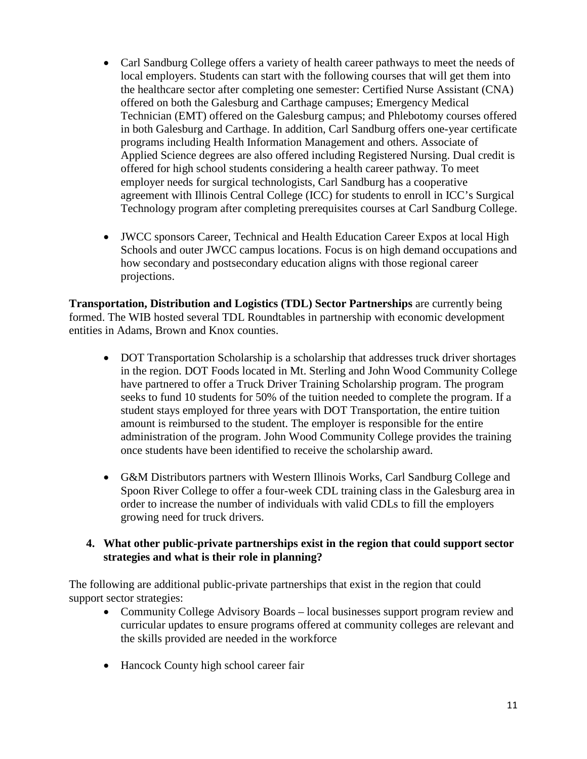- Carl Sandburg College offers a variety of health career pathways to meet the needs of local employers. Students can start with the following courses that will get them into the healthcare sector after completing one semester: Certified Nurse Assistant (CNA) offered on both the Galesburg and Carthage campuses; Emergency Medical Technician (EMT) offered on the Galesburg campus; and Phlebotomy courses offered in both Galesburg and Carthage. In addition, Carl Sandburg offers one-year certificate programs including Health Information Management and others. Associate of Applied Science degrees are also offered including Registered Nursing. Dual credit is offered for high school students considering a health career pathway. To meet employer needs for surgical technologists, Carl Sandburg has a cooperative agreement with Illinois Central College (ICC) for students to enroll in ICC's Surgical Technology program after completing prerequisites courses at Carl Sandburg College.
- JWCC sponsors Career, Technical and Health Education Career Expos at local High Schools and outer JWCC campus locations. Focus is on high demand occupations and how secondary and postsecondary education aligns with those regional career projections.

**Transportation, Distribution and Logistics (TDL) Sector Partnerships** are currently being formed. The WIB hosted several TDL Roundtables in partnership with economic development entities in Adams, Brown and Knox counties.

- DOT Transportation Scholarship is a scholarship that addresses truck driver shortages in the region. DOT Foods located in Mt. Sterling and John Wood Community College have partnered to offer a Truck Driver Training Scholarship program. The program seeks to fund 10 students for 50% of the tuition needed to complete the program. If a student stays employed for three years with DOT Transportation, the entire tuition amount is reimbursed to the student. The employer is responsible for the entire administration of the program. John Wood Community College provides the training once students have been identified to receive the scholarship award.
- G&M Distributors partners with Western Illinois Works, Carl Sandburg College and Spoon River College to offer a four-week CDL training class in the Galesburg area in order to increase the number of individuals with valid CDLs to fill the employers growing need for truck drivers.

### **4. What other public-private partnerships exist in the region that could support sector strategies and what is their role in planning?**

The following are additional public-private partnerships that exist in the region that could support sector strategies:

- Community College Advisory Boards local businesses support program review and curricular updates to ensure programs offered at community colleges are relevant and the skills provided are needed in the workforce
- Hancock County high school career fair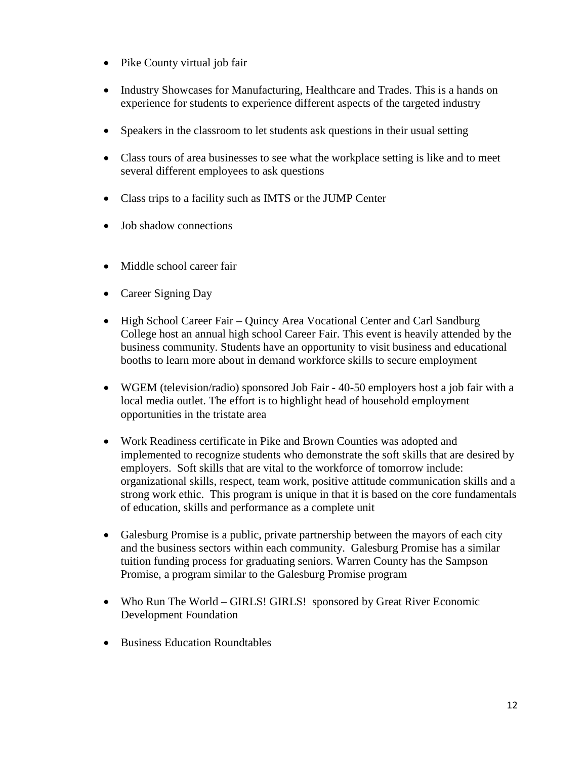- Pike County virtual job fair
- Industry Showcases for Manufacturing, Healthcare and Trades. This is a hands on experience for students to experience different aspects of the targeted industry
- Speakers in the classroom to let students ask questions in their usual setting
- Class tours of area businesses to see what the workplace setting is like and to meet several different employees to ask questions
- Class trips to a facility such as IMTS or the JUMP Center
- Job shadow connections
- Middle school career fair
- Career Signing Day
- High School Career Fair Quincy Area Vocational Center and Carl Sandburg College host an annual high school Career Fair. This event is heavily attended by the business community. Students have an opportunity to visit business and educational booths to learn more about in demand workforce skills to secure employment
- WGEM (television/radio) sponsored Job Fair 40-50 employers host a job fair with a local media outlet. The effort is to highlight head of household employment opportunities in the tristate area
- Work Readiness certificate in Pike and Brown Counties was adopted and implemented to recognize students who demonstrate the soft skills that are desired by employers. Soft skills that are vital to the workforce of tomorrow include: organizational skills, respect, team work, positive attitude communication skills and a strong work ethic. This program is unique in that it is based on the core fundamentals of education, skills and performance as a complete unit
- Galesburg Promise is a public, private partnership between the mayors of each city and the business sectors within each community. Galesburg Promise has a similar tuition funding process for graduating seniors. Warren County has the Sampson Promise, a program similar to the Galesburg Promise program
- Who Run The World GIRLS! GIRLS! sponsored by Great River Economic Development Foundation
- Business Education Roundtables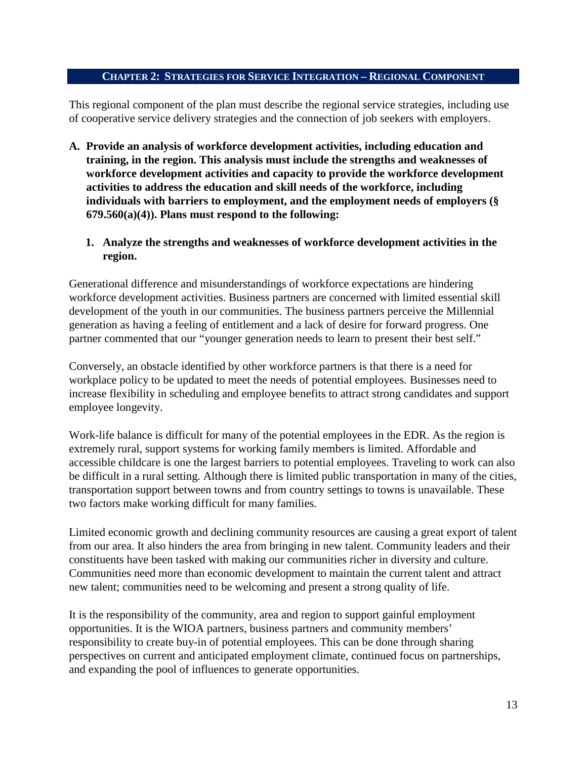#### **CHAPTER 2: STRATEGIES FOR SERVICE INTEGRATION – REGIONAL COMPONENT**

This regional component of the plan must describe the regional service strategies, including use of cooperative service delivery strategies and the connection of job seekers with employers.

- **A. Provide an analysis of workforce development activities, including education and training, in the region. This analysis must include the strengths and weaknesses of workforce development activities and capacity to provide the workforce development activities to address the education and skill needs of the workforce, including individuals with barriers to employment, and the employment needs of employers (§ 679.560(a)(4)). Plans must respond to the following:** 
	- **1. Analyze the strengths and weaknesses of workforce development activities in the region.**

Generational difference and misunderstandings of workforce expectations are hindering workforce development activities. Business partners are concerned with limited essential skill development of the youth in our communities. The business partners perceive the Millennial generation as having a feeling of entitlement and a lack of desire for forward progress. One partner commented that our "younger generation needs to learn to present their best self."

Conversely, an obstacle identified by other workforce partners is that there is a need for workplace policy to be updated to meet the needs of potential employees. Businesses need to increase flexibility in scheduling and employee benefits to attract strong candidates and support employee longevity.

Work-life balance is difficult for many of the potential employees in the EDR. As the region is extremely rural, support systems for working family members is limited. Affordable and accessible childcare is one the largest barriers to potential employees. Traveling to work can also be difficult in a rural setting. Although there is limited public transportation in many of the cities, transportation support between towns and from country settings to towns is unavailable. These two factors make working difficult for many families.

Limited economic growth and declining community resources are causing a great export of talent from our area. It also hinders the area from bringing in new talent. Community leaders and their constituents have been tasked with making our communities richer in diversity and culture. Communities need more than economic development to maintain the current talent and attract new talent; communities need to be welcoming and present a strong quality of life.

It is the responsibility of the community, area and region to support gainful employment opportunities. It is the WIOA partners, business partners and community members' responsibility to create buy-in of potential employees. This can be done through sharing perspectives on current and anticipated employment climate, continued focus on partnerships, and expanding the pool of influences to generate opportunities.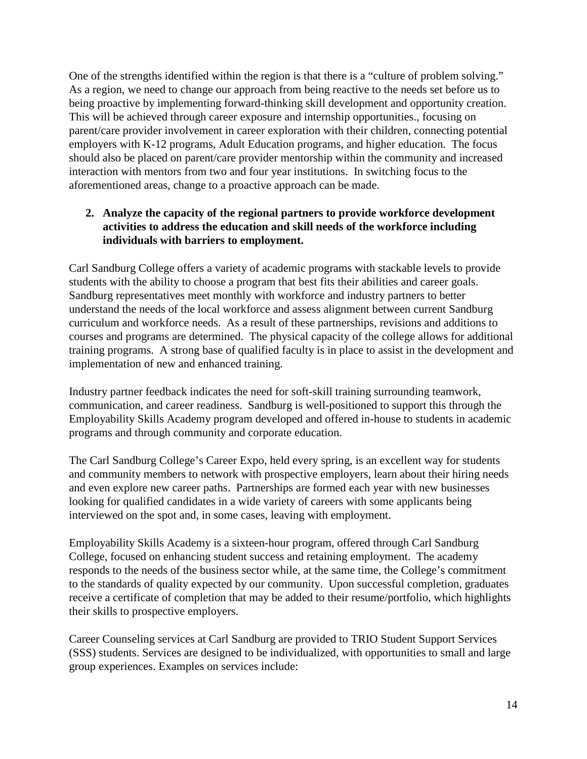One of the strengths identified within the region is that there is a "culture of problem solving." As a region, we need to change our approach from being reactive to the needs set before us to being proactive by implementing forward-thinking skill development and opportunity creation. This will be achieved through career exposure and internship opportunities., focusing on parent/care provider involvement in career exploration with their children, connecting potential employers with K-12 programs, Adult Education programs, and higher education. The focus should also be placed on parent/care provider mentorship within the community and increased interaction with mentors from two and four year institutions. In switching focus to the aforementioned areas, change to a proactive approach can be made.

## **2. Analyze the capacity of the regional partners to provide workforce development activities to address the education and skill needs of the workforce including individuals with barriers to employment.**

Carl Sandburg College offers a variety of academic programs with stackable levels to provide students with the ability to choose a program that best fits their abilities and career goals. Sandburg representatives meet monthly with workforce and industry partners to better understand the needs of the local workforce and assess alignment between current Sandburg curriculum and workforce needs. As a result of these partnerships, revisions and additions to courses and programs are determined. The physical capacity of the college allows for additional training programs. A strong base of qualified faculty is in place to assist in the development and implementation of new and enhanced training.

Industry partner feedback indicates the need for soft-skill training surrounding teamwork, communication, and career readiness. Sandburg is well-positioned to support this through the Employability Skills Academy program developed and offered in-house to students in academic programs and through community and corporate education.

The Carl Sandburg College's Career Expo, held every spring, is an excellent way for students and community members to network with prospective employers, learn about their hiring needs and even explore new career paths. Partnerships are formed each year with new businesses looking for qualified candidates in a wide variety of careers with some applicants being interviewed on the spot and, in some cases, leaving with employment.

Employability Skills Academy is a sixteen-hour program, offered through Carl Sandburg College, focused on enhancing student success and retaining employment. The academy responds to the needs of the business sector while, at the same time, the College's commitment to the standards of quality expected by our community. Upon successful completion, graduates receive a certificate of completion that may be added to their resume/portfolio, which highlights their skills to prospective employers.

Career Counseling services at Carl Sandburg are provided to TRIO Student Support Services (SSS) students. Services are designed to be individualized, with opportunities to small and large group experiences. Examples on services include: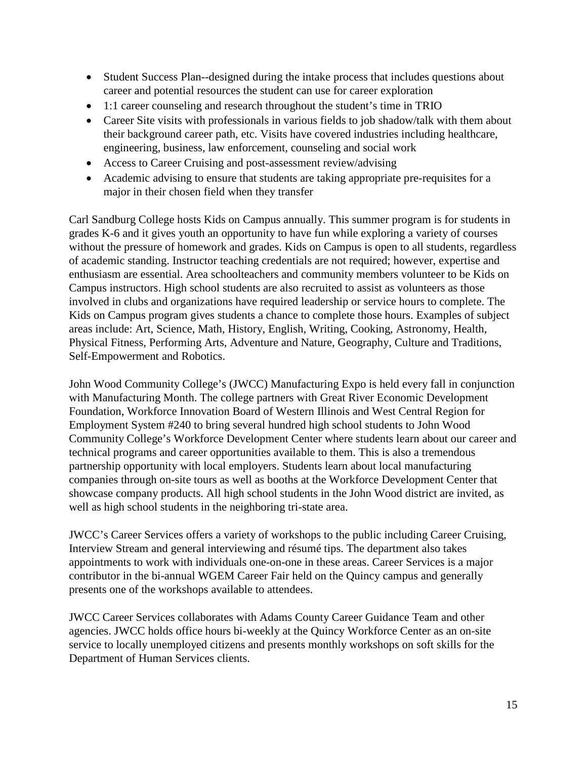- Student Success Plan--designed during the intake process that includes questions about career and potential resources the student can use for career exploration
- 1:1 career counseling and research throughout the student's time in TRIO
- Career Site visits with professionals in various fields to job shadow/talk with them about their background career path, etc. Visits have covered industries including healthcare, engineering, business, law enforcement, counseling and social work
- Access to Career Cruising and post-assessment review/advising
- Academic advising to ensure that students are taking appropriate pre-requisites for a major in their chosen field when they transfer

Carl Sandburg College hosts Kids on Campus annually. This summer program is for students in grades K-6 and it gives youth an opportunity to have fun while exploring a variety of courses without the pressure of homework and grades. Kids on Campus is open to all students, regardless of academic standing. Instructor teaching credentials are not required; however, expertise and enthusiasm are essential. Area schoolteachers and community members volunteer to be Kids on Campus instructors. High school students are also recruited to assist as volunteers as those involved in clubs and organizations have required leadership or service hours to complete. The Kids on Campus program gives students a chance to complete those hours. Examples of subject areas include: Art, Science, Math, History, English, Writing, Cooking, Astronomy, Health, Physical Fitness, Performing Arts, Adventure and Nature, Geography, Culture and Traditions, Self-Empowerment and Robotics.

John Wood Community College's (JWCC) Manufacturing Expo is held every fall in conjunction with Manufacturing Month. The college partners with Great River Economic Development Foundation, Workforce Innovation Board of Western Illinois and West Central Region for Employment System #240 to bring several hundred high school students to John Wood Community College's Workforce Development Center where students learn about our career and technical programs and career opportunities available to them. This is also a tremendous partnership opportunity with local employers. Students learn about local manufacturing companies through on-site tours as well as booths at the Workforce Development Center that showcase company products. All high school students in the John Wood district are invited, as well as high school students in the neighboring tri-state area.

JWCC's Career Services offers a variety of workshops to the public including Career Cruising, Interview Stream and general interviewing and résumé tips. The department also takes appointments to work with individuals one-on-one in these areas. Career Services is a major contributor in the bi-annual WGEM Career Fair held on the Quincy campus and generally presents one of the workshops available to attendees.

JWCC Career Services collaborates with Adams County Career Guidance Team and other agencies. JWCC holds office hours bi-weekly at the Quincy Workforce Center as an on-site service to locally unemployed citizens and presents monthly workshops on soft skills for the Department of Human Services clients.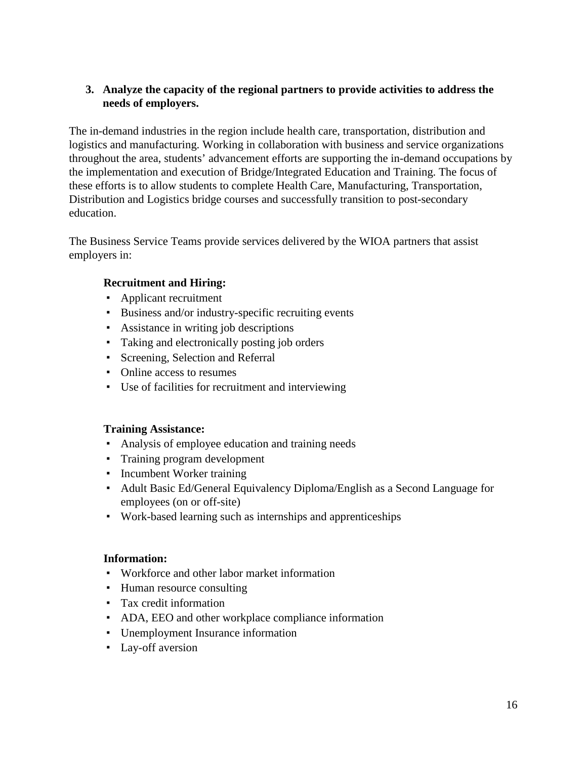### **3. Analyze the capacity of the regional partners to provide activities to address the needs of employers.**

The in-demand industries in the region include health care, transportation, distribution and logistics and manufacturing. Working in collaboration with business and service organizations throughout the area, students' advancement efforts are supporting the in-demand occupations by the implementation and execution of Bridge/Integrated Education and Training. The focus of these efforts is to allow students to complete Health Care, Manufacturing, Transportation, Distribution and Logistics bridge courses and successfully transition to post-secondary education.

The Business Service Teams provide services delivered by the WIOA partners that assist employers in:

## **Recruitment and Hiring:**

- Applicant recruitment
- Business and/or industry-specific recruiting events
- Assistance in writing job descriptions
- Taking and electronically posting job orders
- Screening, Selection and Referral
- Online access to resumes
- Use of facilities for recruitment and interviewing

### **Training Assistance:**

- Analysis of employee education and training needs
- Training program development
- Incumbent Worker training
- Adult Basic Ed/General Equivalency Diploma/English as a Second Language for employees (on or off-site)
- Work-based learning such as internships and apprenticeships

### **Information:**

- Workforce and other labor market information
- Human resource consulting
- Tax credit information
- ADA, EEO and other workplace compliance information
- Unemployment Insurance information
- Lay-off aversion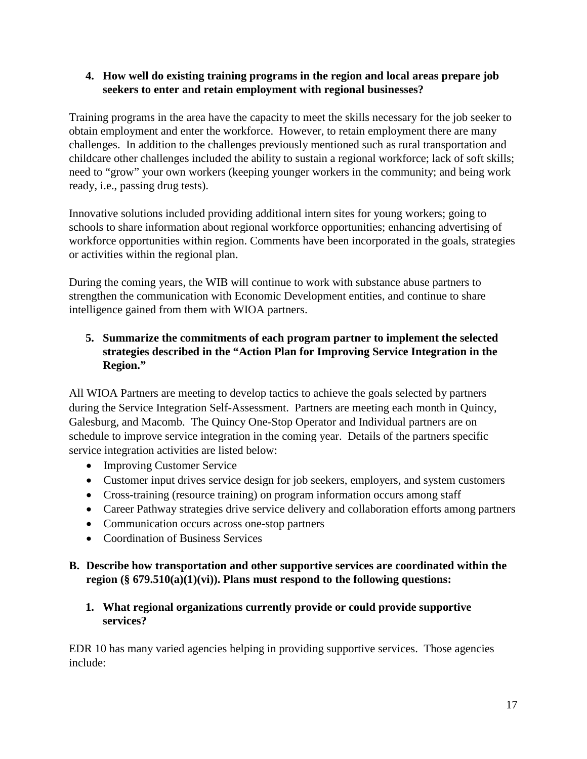### **4. How well do existing training programs in the region and local areas prepare job seekers to enter and retain employment with regional businesses?**

Training programs in the area have the capacity to meet the skills necessary for the job seeker to obtain employment and enter the workforce. However, to retain employment there are many challenges. In addition to the challenges previously mentioned such as rural transportation and childcare other challenges included the ability to sustain a regional workforce; lack of soft skills; need to "grow" your own workers (keeping younger workers in the community; and being work ready, i.e., passing drug tests).

Innovative solutions included providing additional intern sites for young workers; going to schools to share information about regional workforce opportunities; enhancing advertising of workforce opportunities within region. Comments have been incorporated in the goals, strategies or activities within the regional plan.

During the coming years, the WIB will continue to work with substance abuse partners to strengthen the communication with Economic Development entities, and continue to share intelligence gained from them with WIOA partners.

# **5. Summarize the commitments of each program partner to implement the selected strategies described in the "Action Plan for Improving Service Integration in the Region."**

All WIOA Partners are meeting to develop tactics to achieve the goals selected by partners during the Service Integration Self-Assessment. Partners are meeting each month in Quincy, Galesburg, and Macomb. The Quincy One-Stop Operator and Individual partners are on schedule to improve service integration in the coming year. Details of the partners specific service integration activities are listed below:

- Improving Customer Service
- Customer input drives service design for job seekers, employers, and system customers
- Cross-training (resource training) on program information occurs among staff
- Career Pathway strategies drive service delivery and collaboration efforts among partners
- Communication occurs across one-stop partners
- Coordination of Business Services

## **B. Describe how transportation and other supportive services are coordinated within the region (§ 679.510(a)(1)(vi)). Plans must respond to the following questions:**

### **1. What regional organizations currently provide or could provide supportive services?**

EDR 10 has many varied agencies helping in providing supportive services. Those agencies include: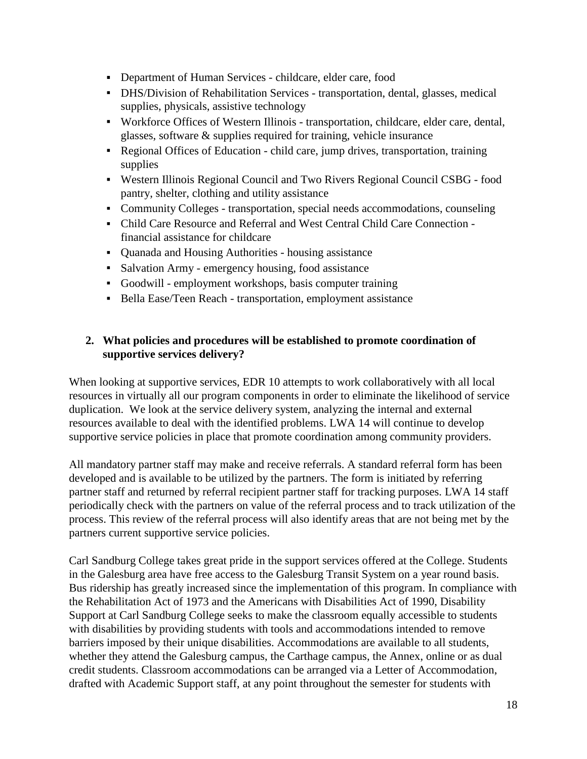- Department of Human Services childcare, elder care, food
- DHS/Division of Rehabilitation Services transportation, dental, glasses, medical supplies, physicals, assistive technology
- Workforce Offices of Western Illinois transportation, childcare, elder care, dental, glasses, software & supplies required for training, vehicle insurance
- Regional Offices of Education child care, jump drives, transportation, training supplies
- Western Illinois Regional Council and Two Rivers Regional Council CSBG food pantry, shelter, clothing and utility assistance
- Community Colleges transportation, special needs accommodations, counseling
- Child Care Resource and Referral and West Central Child Care Connection financial assistance for childcare
- Quanada and Housing Authorities housing assistance
- Salvation Army emergency housing, food assistance
- Goodwill employment workshops, basis computer training
- Bella Ease/Teen Reach transportation, employment assistance

## **2. What policies and procedures will be established to promote coordination of supportive services delivery?**

When looking at supportive services, EDR 10 attempts to work collaboratively with all local resources in virtually all our program components in order to eliminate the likelihood of service duplication. We look at the service delivery system, analyzing the internal and external resources available to deal with the identified problems. LWA 14 will continue to develop supportive service policies in place that promote coordination among community providers.

All mandatory partner staff may make and receive referrals. A standard referral form has been developed and is available to be utilized by the partners. The form is initiated by referring partner staff and returned by referral recipient partner staff for tracking purposes. LWA 14 staff periodically check with the partners on value of the referral process and to track utilization of the process. This review of the referral process will also identify areas that are not being met by the partners current supportive service policies.

Carl Sandburg College takes great pride in the support services offered at the College. Students in the Galesburg area have free access to the Galesburg Transit System on a year round basis. Bus ridership has greatly increased since the implementation of this program. In compliance with the Rehabilitation Act of 1973 and the Americans with Disabilities Act of 1990, Disability Support at Carl Sandburg College seeks to make the classroom equally accessible to students with disabilities by providing students with tools and accommodations intended to remove barriers imposed by their unique disabilities. Accommodations are available to all students, whether they attend the Galesburg campus, the Carthage campus, the Annex, online or as dual credit students. Classroom accommodations can be arranged via a Letter of Accommodation, drafted with Academic Support staff, at any point throughout the semester for students with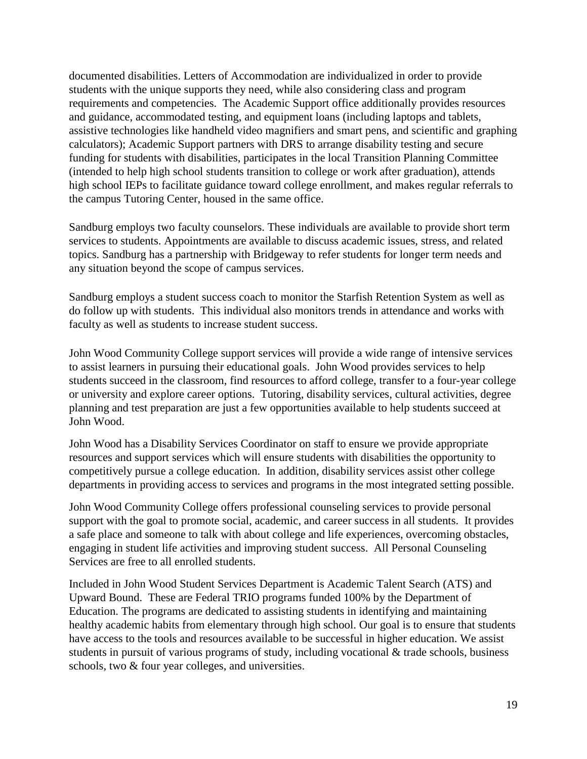documented disabilities. Letters of Accommodation are individualized in order to provide students with the unique supports they need, while also considering class and program requirements and competencies. The Academic Support office additionally provides resources and guidance, accommodated testing, and equipment loans (including laptops and tablets, assistive technologies like handheld video magnifiers and smart pens, and scientific and graphing calculators); Academic Support partners with DRS to arrange disability testing and secure funding for students with disabilities, participates in the local Transition Planning Committee (intended to help high school students transition to college or work after graduation), attends high school IEPs to facilitate guidance toward college enrollment, and makes regular referrals to the campus Tutoring Center, housed in the same office.

Sandburg employs two faculty counselors. These individuals are available to provide short term services to students. Appointments are available to discuss academic issues, stress, and related topics. Sandburg has a partnership with Bridgeway to refer students for longer term needs and any situation beyond the scope of campus services.

Sandburg employs a student success coach to monitor the Starfish Retention System as well as do follow up with students. This individual also monitors trends in attendance and works with faculty as well as students to increase student success.

John Wood Community College support services will provide a wide range of intensive services to assist learners in pursuing their educational goals. John Wood provides services to help students succeed in the classroom, find resources to afford college, transfer to a four-year college or university and explore career options. Tutoring, disability services, cultural activities, degree planning and test preparation are just a few opportunities available to help students succeed at John Wood.

John Wood has a Disability Services Coordinator on staff to ensure we provide appropriate resources and support services which will ensure students with disabilities the opportunity to competitively pursue a college education. In addition, disability services assist other college departments in providing access to services and programs in the most integrated setting possible.

John Wood Community College offers professional counseling services to provide personal support with the goal to promote social, academic, and career success in all students. It provides a safe place and someone to talk with about college and life experiences, overcoming obstacles, engaging in student life activities and improving student success. All Personal Counseling Services are free to all enrolled students.

Included in John Wood Student Services Department is Academic Talent Search (ATS) and Upward Bound. These are Federal TRIO programs funded 100% by the Department of Education. The programs are dedicated to assisting students in identifying and maintaining healthy academic habits from elementary through high school. Our goal is to ensure that students have access to the tools and resources available to be successful in higher education. We assist students in pursuit of various programs of study, including vocational & trade schools, business schools, two & four year colleges, and universities.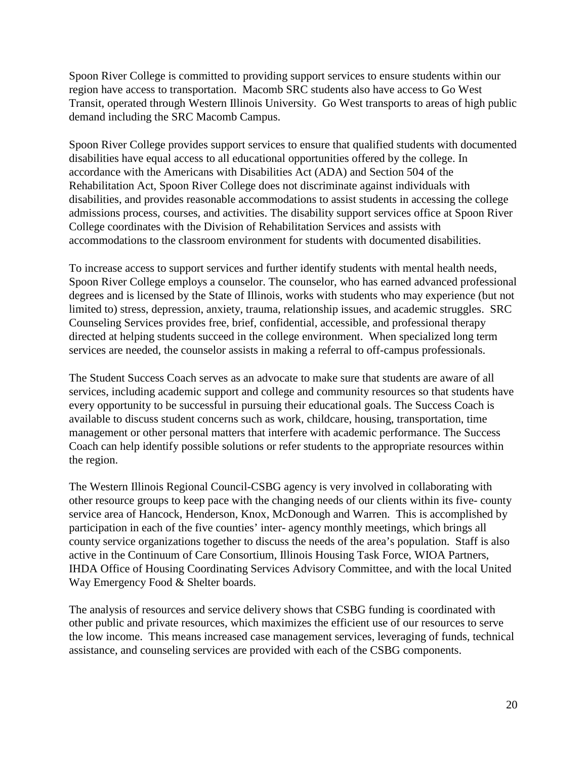Spoon River College is committed to providing support services to ensure students within our region have access to transportation. Macomb SRC students also have access to Go West Transit, operated through Western Illinois University. Go West transports to areas of high public demand including the SRC Macomb Campus.

Spoon River College provides support services to ensure that qualified students with documented disabilities have equal access to all educational opportunities offered by the college. In accordance with the Americans with Disabilities Act (ADA) and Section 504 of the Rehabilitation Act, Spoon River College does not discriminate against individuals with disabilities, and provides reasonable accommodations to assist students in accessing the college admissions process, courses, and activities. The disability support services office at Spoon River College coordinates with the Division of Rehabilitation Services and assists with accommodations to the classroom environment for students with documented disabilities.

To increase access to support services and further identify students with mental health needs, Spoon River College employs a counselor. The counselor, who has earned advanced professional degrees and is licensed by the State of Illinois, works with students who may experience (but not limited to) stress, depression, anxiety, trauma, relationship issues, and academic struggles. SRC Counseling Services provides free, brief, confidential, accessible, and professional therapy directed at helping students succeed in the college environment. When specialized long term services are needed, the counselor assists in making a referral to off-campus professionals.

The Student Success Coach serves as an advocate to make sure that students are aware of all services, including academic support and college and community resources so that students have every opportunity to be successful in pursuing their educational goals. The Success Coach is available to discuss student concerns such as work, childcare, housing, transportation, time management or other personal matters that interfere with academic performance. The Success Coach can help identify possible solutions or refer students to the appropriate resources within the region.

The Western Illinois Regional Council-CSBG agency is very involved in collaborating with other resource groups to keep pace with the changing needs of our clients within its five- county service area of Hancock, Henderson, Knox, McDonough and Warren. This is accomplished by participation in each of the five counties' inter- agency monthly meetings, which brings all county service organizations together to discuss the needs of the area's population. Staff is also active in the Continuum of Care Consortium, Illinois Housing Task Force, WIOA Partners, IHDA Office of Housing Coordinating Services Advisory Committee, and with the local United Way Emergency Food & Shelter boards.

The analysis of resources and service delivery shows that CSBG funding is coordinated with other public and private resources, which maximizes the efficient use of our resources to serve the low income. This means increased case management services, leveraging of funds, technical assistance, and counseling services are provided with each of the CSBG components.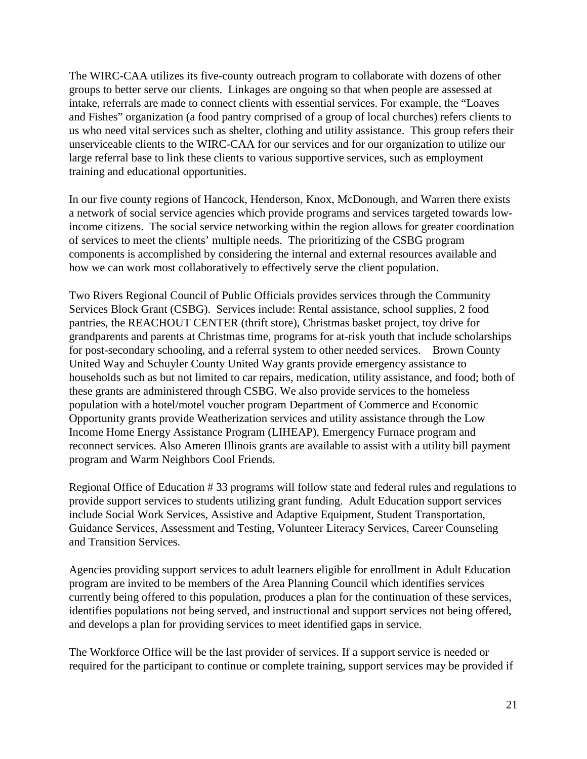The WIRC-CAA utilizes its five-county outreach program to collaborate with dozens of other groups to better serve our clients. Linkages are ongoing so that when people are assessed at intake, referrals are made to connect clients with essential services. For example, the "Loaves and Fishes" organization (a food pantry comprised of a group of local churches) refers clients to us who need vital services such as shelter, clothing and utility assistance. This group refers their unserviceable clients to the WIRC-CAA for our services and for our organization to utilize our large referral base to link these clients to various supportive services, such as employment training and educational opportunities.

In our five county regions of Hancock, Henderson, Knox, McDonough, and Warren there exists a network of social service agencies which provide programs and services targeted towards lowincome citizens. The social service networking within the region allows for greater coordination of services to meet the clients' multiple needs. The prioritizing of the CSBG program components is accomplished by considering the internal and external resources available and how we can work most collaboratively to effectively serve the client population.

Two Rivers Regional Council of Public Officials provides services through the Community Services Block Grant (CSBG). Services include: Rental assistance, school supplies, 2 food pantries, the REACHOUT CENTER (thrift store), Christmas basket project, toy drive for grandparents and parents at Christmas time, programs for at-risk youth that include scholarships for post-secondary schooling, and a referral system to other needed services. Brown County United Way and Schuyler County United Way grants provide emergency assistance to households such as but not limited to car repairs, medication, utility assistance, and food; both of these grants are administered through CSBG. We also provide services to the homeless population with a hotel/motel voucher program Department of Commerce and Economic Opportunity grants provide Weatherization services and utility assistance through the Low Income Home Energy Assistance Program (LIHEAP), Emergency Furnace program and reconnect services. Also Ameren Illinois grants are available to assist with a utility bill payment program and Warm Neighbors Cool Friends.

Regional Office of Education # 33 programs will follow state and federal rules and regulations to provide support services to students utilizing grant funding. Adult Education support services include Social Work Services, Assistive and Adaptive Equipment, Student Transportation, Guidance Services, Assessment and Testing, Volunteer Literacy Services, Career Counseling and Transition Services.

Agencies providing support services to adult learners eligible for enrollment in Adult Education program are invited to be members of the Area Planning Council which identifies services currently being offered to this population, produces a plan for the continuation of these services, identifies populations not being served, and instructional and support services not being offered, and develops a plan for providing services to meet identified gaps in service.

The Workforce Office will be the last provider of services. If a support service is needed or required for the participant to continue or complete training, support services may be provided if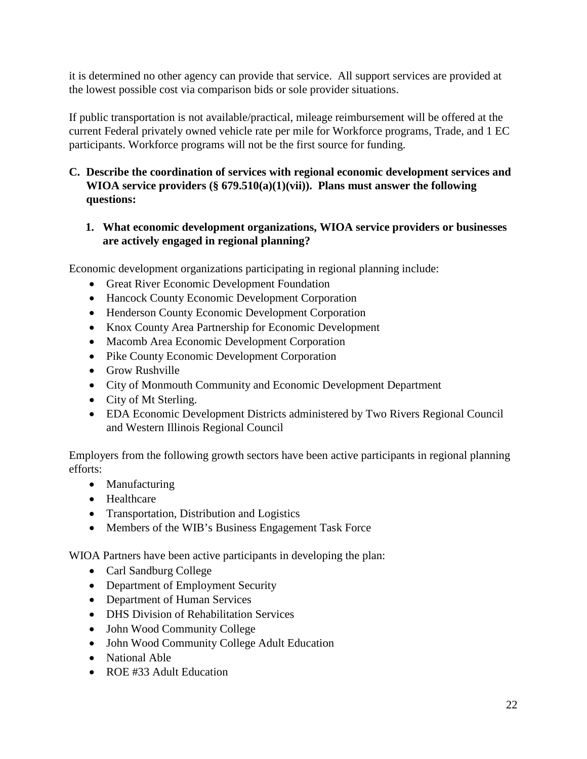it is determined no other agency can provide that service. All support services are provided at the lowest possible cost via comparison bids or sole provider situations.

If public transportation is not available/practical, mileage reimbursement will be offered at the current Federal privately owned vehicle rate per mile for Workforce programs, Trade, and 1 EC participants. Workforce programs will not be the first source for funding.

## **C. Describe the coordination of services with regional economic development services and WIOA service providers (§ 679.510(a)(1)(vii)). Plans must answer the following questions:**

# **1. What economic development organizations, WIOA service providers or businesses are actively engaged in regional planning?**

Economic development organizations participating in regional planning include:

- Great River Economic Development Foundation
- Hancock County Economic Development Corporation
- Henderson County Economic Development Corporation
- Knox County Area Partnership for Economic Development
- Macomb Area Economic Development Corporation
- Pike County Economic Development Corporation
- Grow Rushville
- City of Monmouth Community and Economic Development Department
- City of Mt Sterling.
- EDA Economic Development Districts administered by Two Rivers Regional Council and Western Illinois Regional Council

Employers from the following growth sectors have been active participants in regional planning efforts:

- Manufacturing
- Healthcare
- Transportation, Distribution and Logistics
- Members of the WIB's Business Engagement Task Force

WIOA Partners have been active participants in developing the plan:

- Carl Sandburg College
- Department of Employment Security
- Department of Human Services
- DHS Division of Rehabilitation Services
- John Wood Community College
- John Wood Community College Adult Education
- National Able
- ROE #33 Adult Education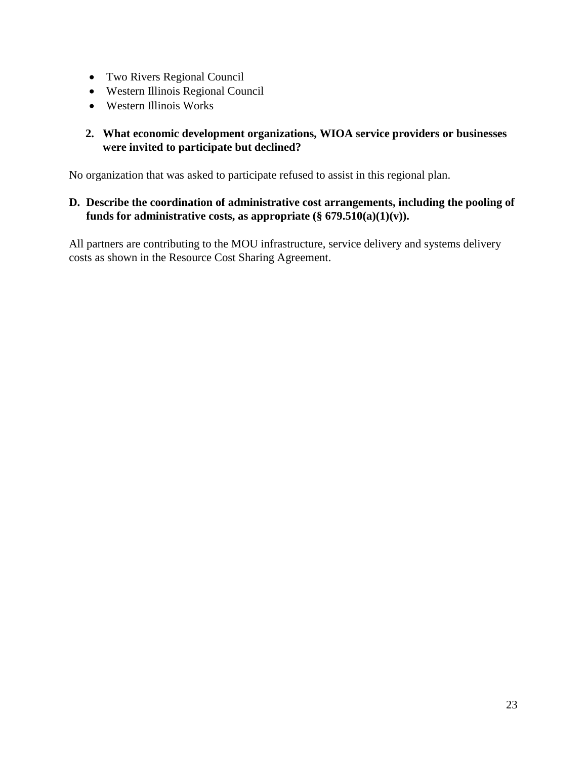- Two Rivers Regional Council
- Western Illinois Regional Council
- Western Illinois Works

## **2. What economic development organizations, WIOA service providers or businesses were invited to participate but declined?**

No organization that was asked to participate refused to assist in this regional plan.

## **D. Describe the coordination of administrative cost arrangements, including the pooling of**  funds for administrative costs, as appropriate  $(\S 679.510(a)(1)(v))$ .

All partners are contributing to the MOU infrastructure, service delivery and systems delivery costs as shown in the Resource Cost Sharing Agreement.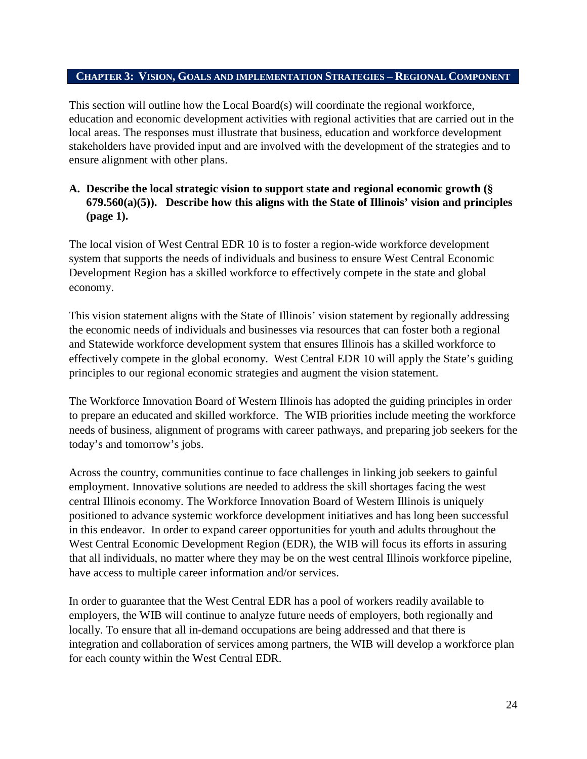#### **CHAPTER 3: VISION, GOALS AND IMPLEMENTATION STRATEGIES – REGIONAL COMPONENT**

This section will outline how the Local Board(s) will coordinate the regional workforce, education and economic development activities with regional activities that are carried out in the local areas. The responses must illustrate that business, education and workforce development stakeholders have provided input and are involved with the development of the strategies and to ensure alignment with other plans.

## **A. Describe the local strategic vision to support state and regional economic growth (§ 679.560(a)(5)). Describe how this aligns with the State of Illinois' vision and principles (page 1).**

The local vision of West Central EDR 10 is to foster a region-wide workforce development system that supports the needs of individuals and business to ensure West Central Economic Development Region has a skilled workforce to effectively compete in the state and global economy.

This vision statement aligns with the State of Illinois' vision statement by regionally addressing the economic needs of individuals and businesses via resources that can foster both a regional and Statewide workforce development system that ensures Illinois has a skilled workforce to effectively compete in the global economy. West Central EDR 10 will apply the State's guiding principles to our regional economic strategies and augment the vision statement.

The Workforce Innovation Board of Western Illinois has adopted the guiding principles in order to prepare an educated and skilled workforce. The WIB priorities include meeting the workforce needs of business, alignment of programs with career pathways, and preparing job seekers for the today's and tomorrow's jobs.

Across the country, communities continue to face challenges in linking job seekers to gainful employment. Innovative solutions are needed to address the skill shortages facing the west central Illinois economy. The Workforce Innovation Board of Western Illinois is uniquely positioned to advance systemic workforce development initiatives and has long been successful in this endeavor. In order to expand career opportunities for youth and adults throughout the West Central Economic Development Region (EDR), the WIB will focus its efforts in assuring that all individuals, no matter where they may be on the west central Illinois workforce pipeline, have access to multiple career information and/or services.

In order to guarantee that the West Central EDR has a pool of workers readily available to employers, the WIB will continue to analyze future needs of employers, both regionally and locally. To ensure that all in-demand occupations are being addressed and that there is integration and collaboration of services among partners, the WIB will develop a workforce plan for each county within the West Central EDR.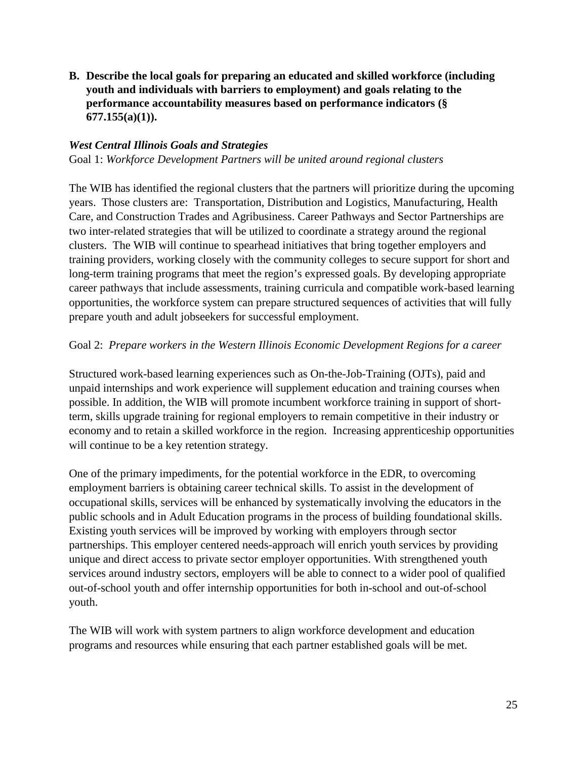**B. Describe the local goals for preparing an educated and skilled workforce (including youth and individuals with barriers to employment) and goals relating to the performance accountability measures based on performance indicators (§ 677.155(a)(1)).**

#### *West Central Illinois Goals and Strategies*

Goal 1: *Workforce Development Partners will be united around regional clusters*

The WIB has identified the regional clusters that the partners will prioritize during the upcoming years. Those clusters are: Transportation, Distribution and Logistics, Manufacturing, Health Care, and Construction Trades and Agribusiness. Career Pathways and Sector Partnerships are two inter-related strategies that will be utilized to coordinate a strategy around the regional clusters. The WIB will continue to spearhead initiatives that bring together employers and training providers, working closely with the community colleges to secure support for short and long-term training programs that meet the region's expressed goals. By developing appropriate career pathways that include assessments, training curricula and compatible work-based learning opportunities, the workforce system can prepare structured sequences of activities that will fully prepare youth and adult jobseekers for successful employment.

#### Goal 2: *Prepare workers in the Western Illinois Economic Development Regions for a career*

Structured work-based learning experiences such as On-the-Job-Training (OJTs), paid and unpaid internships and work experience will supplement education and training courses when possible. In addition, the WIB will promote incumbent workforce training in support of shortterm, skills upgrade training for regional employers to remain competitive in their industry or economy and to retain a skilled workforce in the region. Increasing apprenticeship opportunities will continue to be a key retention strategy.

One of the primary impediments, for the potential workforce in the EDR, to overcoming employment barriers is obtaining career technical skills. To assist in the development of occupational skills, services will be enhanced by systematically involving the educators in the public schools and in Adult Education programs in the process of building foundational skills. Existing youth services will be improved by working with employers through sector partnerships. This employer centered needs-approach will enrich youth services by providing unique and direct access to private sector employer opportunities. With strengthened youth services around industry sectors, employers will be able to connect to a wider pool of qualified out-of-school youth and offer internship opportunities for both in-school and out-of-school youth.

The WIB will work with system partners to align workforce development and education programs and resources while ensuring that each partner established goals will be met.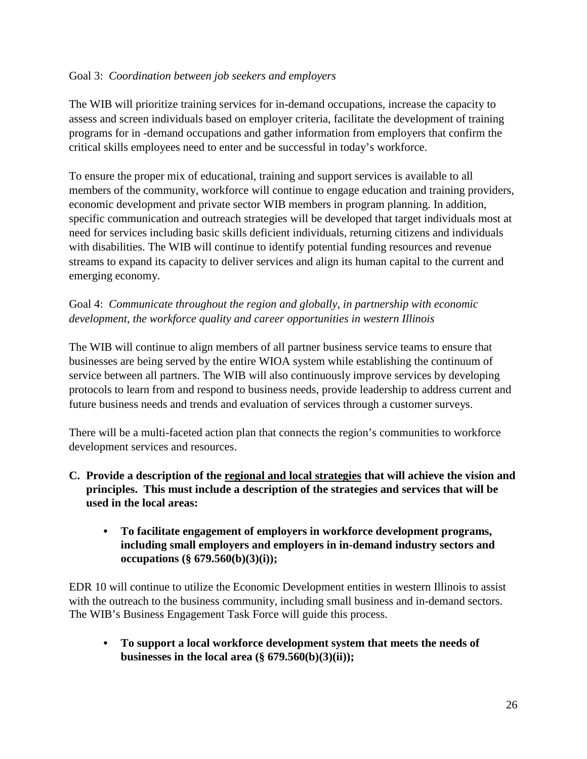## Goal 3: *Coordination between job seekers and employers*

The WIB will prioritize training services for in-demand occupations, increase the capacity to assess and screen individuals based on employer criteria, facilitate the development of training programs for in -demand occupations and gather information from employers that confirm the critical skills employees need to enter and be successful in today's workforce.

To ensure the proper mix of educational, training and support services is available to all members of the community, workforce will continue to engage education and training providers, economic development and private sector WIB members in program planning. In addition, specific communication and outreach strategies will be developed that target individuals most at need for services including basic skills deficient individuals, returning citizens and individuals with disabilities. The WIB will continue to identify potential funding resources and revenue streams to expand its capacity to deliver services and align its human capital to the current and emerging economy.

Goal 4: *Communicate throughout the region and globally, in partnership with economic development, the workforce quality and career opportunities in western Illinois*

The WIB will continue to align members of all partner business service teams to ensure that businesses are being served by the entire WIOA system while establishing the continuum of service between all partners. The WIB will also continuously improve services by developing protocols to learn from and respond to business needs, provide leadership to address current and future business needs and trends and evaluation of services through a customer surveys.

There will be a multi-faceted action plan that connects the region's communities to workforce development services and resources.

- **C. Provide a description of the regional and local strategies that will achieve the vision and principles. This must include a description of the strategies and services that will be used in the local areas:** 
	- **• To facilitate engagement of employers in workforce development programs, including small employers and employers in in-demand industry sectors and occupations (§ 679.560(b)(3)(i));**

EDR 10 will continue to utilize the Economic Development entities in western Illinois to assist with the outreach to the business community, including small business and in-demand sectors. The WIB's Business Engagement Task Force will guide this process.

**• To support a local workforce development system that meets the needs of**  businesses in the local area  $(\S 679.560(b)(3)(ii))$ ;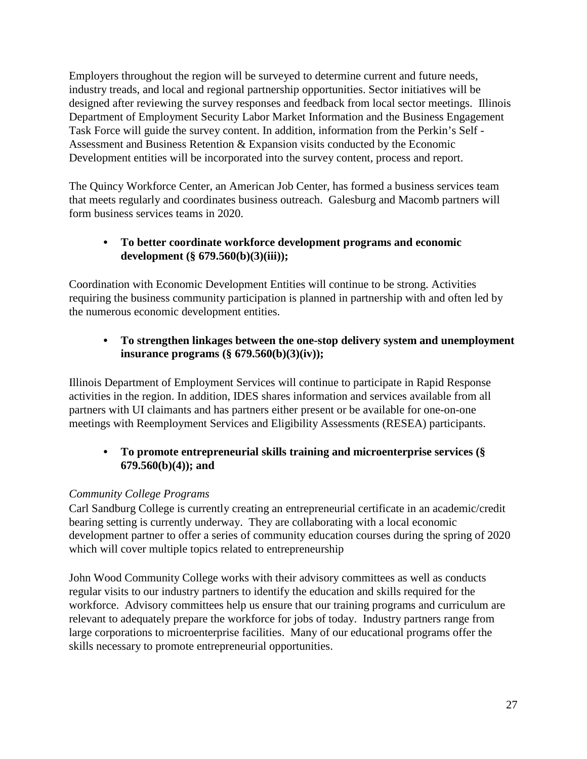Employers throughout the region will be surveyed to determine current and future needs, industry treads, and local and regional partnership opportunities. Sector initiatives will be designed after reviewing the survey responses and feedback from local sector meetings. Illinois Department of Employment Security Labor Market Information and the Business Engagement Task Force will guide the survey content. In addition, information from the Perkin's Self - Assessment and Business Retention & Expansion visits conducted by the Economic Development entities will be incorporated into the survey content, process and report.

The Quincy Workforce Center, an American Job Center, has formed a business services team that meets regularly and coordinates business outreach. Galesburg and Macomb partners will form business services teams in 2020.

# **• To better coordinate workforce development programs and economic development (§ 679.560(b)(3)(iii));**

Coordination with Economic Development Entities will continue to be strong. Activities requiring the business community participation is planned in partnership with and often led by the numerous economic development entities.

# **• To strengthen linkages between the one-stop delivery system and unemployment insurance programs (§ 679.560(b)(3)(iv));**

Illinois Department of Employment Services will continue to participate in Rapid Response activities in the region. In addition, IDES shares information and services available from all partners with UI claimants and has partners either present or be available for one-on-one meetings with Reemployment Services and Eligibility Assessments (RESEA) participants.

# **• To promote entrepreneurial skills training and microenterprise services (§ 679.560(b)(4)); and**

# *Community College Programs*

Carl Sandburg College is currently creating an entrepreneurial certificate in an academic/credit bearing setting is currently underway. They are collaborating with a local economic development partner to offer a series of community education courses during the spring of 2020 which will cover multiple topics related to entrepreneurship

John Wood Community College works with their advisory committees as well as conducts regular visits to our industry partners to identify the education and skills required for the workforce. Advisory committees help us ensure that our training programs and curriculum are relevant to adequately prepare the workforce for jobs of today. Industry partners range from large corporations to microenterprise facilities. Many of our educational programs offer the skills necessary to promote entrepreneurial opportunities.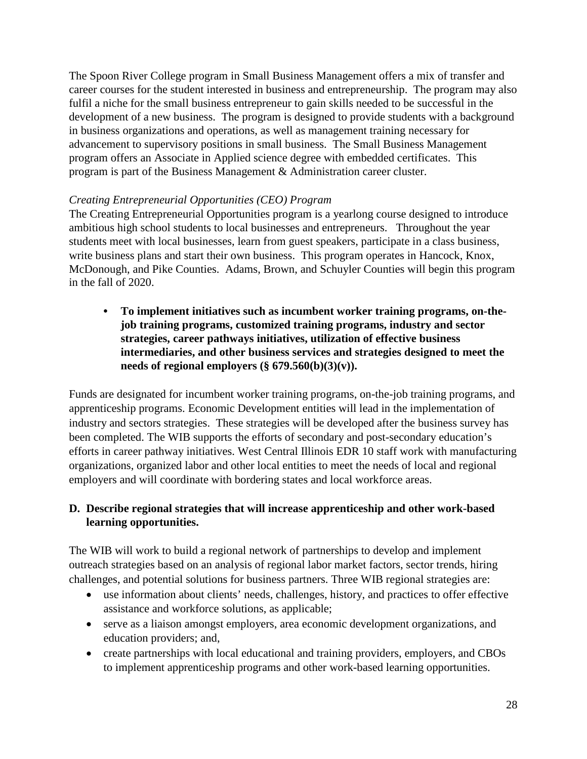The Spoon River College program in Small Business Management offers a mix of transfer and career courses for the student interested in business and entrepreneurship. The program may also fulfil a niche for the small business entrepreneur to gain skills needed to be successful in the development of a new business. The program is designed to provide students with a background in business organizations and operations, as well as management training necessary for advancement to supervisory positions in small business. The Small Business Management program offers an Associate in Applied science degree with embedded certificates. This program is part of the Business Management & Administration career cluster.

### *Creating Entrepreneurial Opportunities (CEO) Program*

The Creating Entrepreneurial Opportunities program is a yearlong course designed to introduce ambitious high school students to local businesses and entrepreneurs. Throughout the year students meet with local businesses, learn from guest speakers, participate in a class business, write business plans and start their own business. This program operates in Hancock, Knox, McDonough, and Pike Counties. Adams, Brown, and Schuyler Counties will begin this program in the fall of 2020.

**• To implement initiatives such as incumbent worker training programs, on-thejob training programs, customized training programs, industry and sector strategies, career pathways initiatives, utilization of effective business intermediaries, and other business services and strategies designed to meet the**  needs of regional employers  $(\S 679.560(b)(3)(v))$ .

Funds are designated for incumbent worker training programs, on-the-job training programs, and apprenticeship programs. Economic Development entities will lead in the implementation of industry and sectors strategies. These strategies will be developed after the business survey has been completed. The WIB supports the efforts of secondary and post-secondary education's efforts in career pathway initiatives. West Central Illinois EDR 10 staff work with manufacturing organizations, organized labor and other local entities to meet the needs of local and regional employers and will coordinate with bordering states and local workforce areas.

## **D. Describe regional strategies that will increase apprenticeship and other work-based learning opportunities.**

The WIB will work to build a regional network of partnerships to develop and implement outreach strategies based on an analysis of regional labor market factors, sector trends, hiring challenges, and potential solutions for business partners. Three WIB regional strategies are:

- use information about clients' needs, challenges, history, and practices to offer effective assistance and workforce solutions, as applicable;
- serve as a liaison amongst employers, area economic development organizations, and education providers; and,
- create partnerships with local educational and training providers, employers, and CBOs to implement apprenticeship programs and other work-based learning opportunities.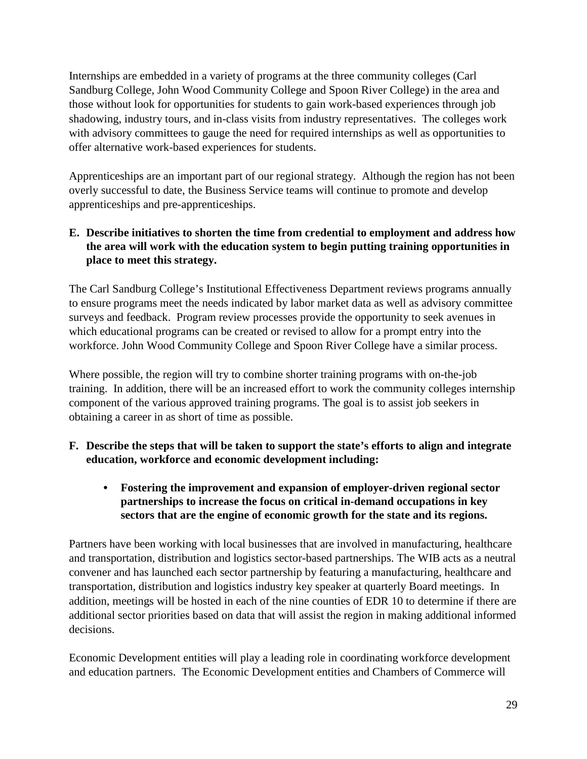Internships are embedded in a variety of programs at the three community colleges (Carl Sandburg College, John Wood Community College and Spoon River College) in the area and those without look for opportunities for students to gain work-based experiences through job shadowing, industry tours, and in-class visits from industry representatives. The colleges work with advisory committees to gauge the need for required internships as well as opportunities to offer alternative work-based experiences for students.

Apprenticeships are an important part of our regional strategy. Although the region has not been overly successful to date, the Business Service teams will continue to promote and develop apprenticeships and pre-apprenticeships.

# **E. Describe initiatives to shorten the time from credential to employment and address how the area will work with the education system to begin putting training opportunities in place to meet this strategy.**

The Carl Sandburg College's Institutional Effectiveness Department reviews programs annually to ensure programs meet the needs indicated by labor market data as well as advisory committee surveys and feedback. Program review processes provide the opportunity to seek avenues in which educational programs can be created or revised to allow for a prompt entry into the workforce. John Wood Community College and Spoon River College have a similar process.

Where possible, the region will try to combine shorter training programs with on-the-job training. In addition, there will be an increased effort to work the community colleges internship component of the various approved training programs. The goal is to assist job seekers in obtaining a career in as short of time as possible.

- **F. Describe the steps that will be taken to support the state's efforts to align and integrate education, workforce and economic development including:**
	- **• Fostering the improvement and expansion of employer-driven regional sector partnerships to increase the focus on critical in-demand occupations in key sectors that are the engine of economic growth for the state and its regions.**

Partners have been working with local businesses that are involved in manufacturing, healthcare and transportation, distribution and logistics sector-based partnerships. The WIB acts as a neutral convener and has launched each sector partnership by featuring a manufacturing, healthcare and transportation, distribution and logistics industry key speaker at quarterly Board meetings. In addition, meetings will be hosted in each of the nine counties of EDR 10 to determine if there are additional sector priorities based on data that will assist the region in making additional informed decisions.

Economic Development entities will play a leading role in coordinating workforce development and education partners. The Economic Development entities and Chambers of Commerce will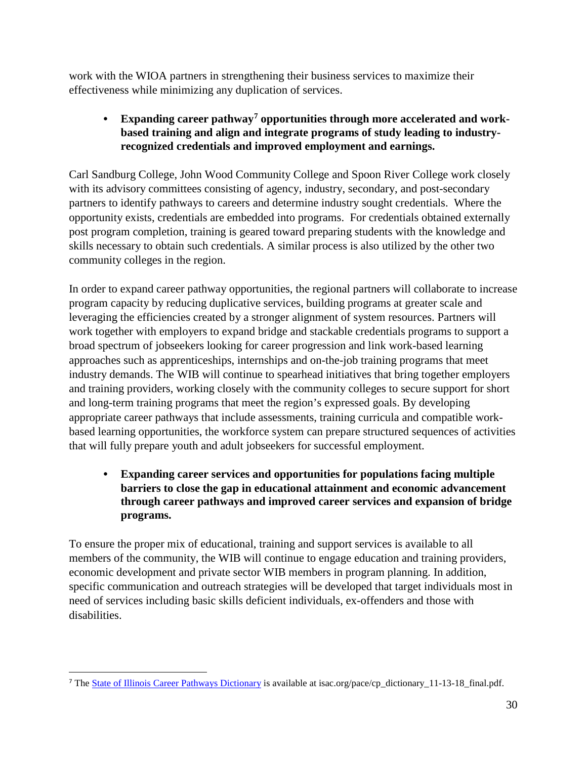work with the WIOA partners in strengthening their business services to maximize their effectiveness while minimizing any duplication of services.

# **• Expanding career pathway[7](#page-29-0) opportunities through more accelerated and workbased training and align and integrate programs of study leading to industryrecognized credentials and improved employment and earnings.**

Carl Sandburg College, John Wood Community College and Spoon River College work closely with its advisory committees consisting of agency, industry, secondary, and post-secondary partners to identify pathways to careers and determine industry sought credentials. Where the opportunity exists, credentials are embedded into programs. For credentials obtained externally post program completion, training is geared toward preparing students with the knowledge and skills necessary to obtain such credentials. A similar process is also utilized by the other two community colleges in the region.

In order to expand career pathway opportunities, the regional partners will collaborate to increase program capacity by reducing duplicative services, building programs at greater scale and leveraging the efficiencies created by a stronger alignment of system resources. Partners will work together with employers to expand bridge and stackable credentials programs to support a broad spectrum of jobseekers looking for career progression and link work-based learning approaches such as apprenticeships, internships and on-the-job training programs that meet industry demands. The WIB will continue to spearhead initiatives that bring together employers and training providers, working closely with the community colleges to secure support for short and long-term training programs that meet the region's expressed goals. By developing appropriate career pathways that include assessments, training curricula and compatible workbased learning opportunities, the workforce system can prepare structured sequences of activities that will fully prepare youth and adult jobseekers for successful employment.

# **• Expanding career services and opportunities for populations facing multiple barriers to close the gap in educational attainment and economic advancement through career pathways and improved career services and expansion of bridge programs.**

To ensure the proper mix of educational, training and support services is available to all members of the community, the WIB will continue to engage education and training providers, economic development and private sector WIB members in program planning. In addition, specific communication and outreach strategies will be developed that target individuals most in need of services including basic skills deficient individuals, ex-offenders and those with disabilities.

<span id="page-29-0"></span> $\overline{a}$ <sup>7</sup> The [State of Illinois Career Pathways Dictionary](https://www.isac.org/pace/cp_dictionary_11-13-18__final.pdf) is available at isac.org/pace/cp\_dictionary\_11-13-18\_final.pdf.